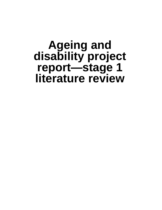# **Ageing and disability project report—stage 1 literature review**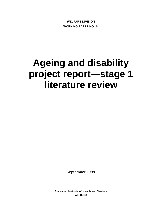**WELFARE DIVISION WORKING PAPER NO. 24**

# **Ageing and disability project report—stage 1 literature review**

September 1999

Australian Institute of Health and Welfare Canberra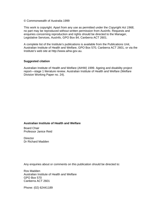#### © Commonwealth of Australia 1999

This work is copyright. Apart from any use as permitted under the *Copyright Act 1968*, no part may be reproduced without written permission from AusInfo. Requests and enquiries concerning reproduction and rights should be directed to the Manager, Legislative Services, AusInfo, GPO Box 84, Canberra ACT 2601.

A complete list of the Institute's publications is available from the Publications Unit, Australian Institute of Health and Welfare, GPO Box 570, Canberra ACT 2601, or via the Institute's web site at http://www.aihw.gov.au.

#### **Suggested citation**

Australian Institute of Health and Welfare (AIHW) 1999. Ageing and disability project report—stage 1 literature review. Australian Institute of Health and Welfare (Welfare Division Working Paper no. 24).

#### **Australian Institute of Health and Welfare**

Board Chair Professor Janice Reid

**Director** Dr Richard Madden

Any enquiries about or comments on this publication should be directed to:

Ros Madden Australian Institute of Health and Welfare GPO Box 570 Canberra ACT 2601

Phone: (02) 62441189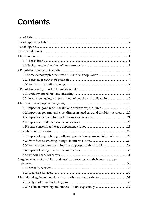# **Contents**

| 3.2 Population ageing and prevalence of people with a disability  16          |  |
|-------------------------------------------------------------------------------|--|
|                                                                               |  |
| 4.1 Impact on government health and welfare expenditures  18                  |  |
| 4.2 Impact on government expenditures in aged care and disability services 20 |  |
|                                                                               |  |
|                                                                               |  |
|                                                                               |  |
|                                                                               |  |
| 5.1 Impact of population growth and population ageing on informal care  26    |  |
|                                                                               |  |
| 5.3 Trends in community living among people with a disability  29             |  |
|                                                                               |  |
|                                                                               |  |
| 6 Ageing clients of disability and aged care services and their service usage |  |
|                                                                               |  |
|                                                                               |  |
|                                                                               |  |
|                                                                               |  |
|                                                                               |  |
|                                                                               |  |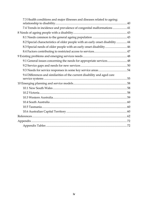| 7.3 Health conditions and major illnesses and diseases related to ageing:      |  |
|--------------------------------------------------------------------------------|--|
| 7.4 Trends in incidence and prevalence of congenital malformations  41         |  |
|                                                                                |  |
|                                                                                |  |
| 8.2 Special characteristics of older people with an early onset disability  44 |  |
| 8.3 Special needs of older people with an early onset disability 46            |  |
|                                                                                |  |
|                                                                                |  |
| 9.1 General issues concerning the needs for appropriate services 48            |  |
|                                                                                |  |
|                                                                                |  |
| 9.4 Differences and similarities of the current disability and aged care       |  |
|                                                                                |  |
|                                                                                |  |
|                                                                                |  |
|                                                                                |  |
|                                                                                |  |
|                                                                                |  |
|                                                                                |  |
|                                                                                |  |
|                                                                                |  |
|                                                                                |  |
|                                                                                |  |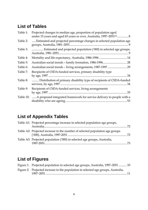## **List of Tables**

| Table 1:  | Projected changes in median age, proportion of population aged<br>under 15 years and aged 65 years or over, Australia, 1997-2051 <sup>(a)</sup> 8 |
|-----------|---------------------------------------------------------------------------------------------------------------------------------------------------|
| Table 2:  | Estimated and projected percentage changes in selected population age                                                                             |
| Table 3:  | Estimated and projected population ('000) in selected age groups,                                                                                 |
| Table 4:  |                                                                                                                                                   |
| Table 5:  |                                                                                                                                                   |
| Table 6:  |                                                                                                                                                   |
| Table 7:  | Recipients of CSDA-funded services, primary disability type                                                                                       |
| Table 8:  | Distribution of primary disability type of recipients of CSDA-funded                                                                              |
| Table 9:  | Recipients of CSDA-funded services, living arrangements                                                                                           |
| Table 10: | A proposed integrated framework for service delivery to people with a<br>53                                                                       |

## **List of Appendix Tables**

| Table A1: Projected percentage increase in selected population age groups,   |  |
|------------------------------------------------------------------------------|--|
| Table A2: Projected increase in the number of selected population age groups |  |
| Table A3: Projected population ('000) in selected age groups, Australia,     |  |

## **List of Figures**

| Figure 1: Projected population in selected age groups, Australia, 1997-2051  10   |  |
|-----------------------------------------------------------------------------------|--|
| Figure 2: Projected increase in the population in selected age groups, Australia, |  |
|                                                                                   |  |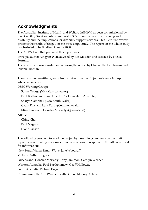## **Acknowledgments**

The Australian Institute of Health and Welfare (AIHW) has been commissioned by the Disability Services Subcommittee (DSSC) to conduct a study of ageing and disability and the implications for disability support services. This literature review presents the results of Stage 1 of the three-stage study. The report on the whole study is scheduled to be finalised in early 2000.

The AIHW team that prepared this report was:

Principal author Xingyan Wen, advised by Ros Madden and assisted by Nicola Fortune.

The study team was assisted in preparing the report by Chrysanthe Psychogios and Johann Sheehan.

The study has benefited greatly from advice from the Project Reference Group, whose members are:

DSSC Working Group:

Susan George (Victoria—convenor)

Paul Bartholomew and Charlie Rook (Western Australia)

Sharyn Campbell (New South Wales)

Cathy Ellis and Lara Purdy(Commonwealth)

Mike Lewis and Donalee Moriarty (Queensland)

AIHW:

Ching Choi Paul Magnus Diane Gibson

The following people informed the project by providing comments on the draft report or coordinating responses from jurisdictions in response to the AIHW request for information:

New South Wales: Simon Watts, Jane Woodruff

Victoria: Arthur Rogers

Queensland: Donalee Moriarty, Tony Jamieson, Carolyn Webber

Western Australia: Paul Bartholomew, Geoff Holloway

South Australia: Richard Deyell

Commonwealth: Kim Wisener, Ruth Goren , Marjory Kobold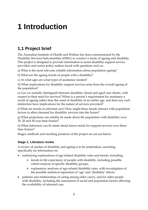# **1 Introduction**

## **1.1 Project brief**

The Australian Institute of Health and Welfare has been commissioned by the Disability Services Subcommittee (DSSC) to conduct a study of ageing and disability. This project is designed to provide information to assist disability support service providers and senior policy makers faced with questions such as:

a) What is the most relevant, reliable information about population ageing?

b) What are the ageing trends of people with a disability?

c) At what ages are what types of assistance needed?

d) What implications for disability support services arise from the overall ageing of the population?

e) Can we usefully distinguish between disability clients and aged care clients, with respect to their need for services? When is a person's requirement for assistance a result of ageing rather than the onset of disability at an earlier age, and does any such distinction have implications for the nature of services provided?

f) What are trends in informal care? How might these trends interact with population factors to affect demand for disability services into the future?

g) What projections can reliably be made about the population with disability over 10, 20 and 30 year time frames?

h) What inferences can be made about future needs for support services over these time frames?

Stages, methods and resulting products of the project are set out below.

### **Stage 1: Literature review**

A review of studies of disability and ageing is to be undertaken, searching specifically for information on:

- underlying explanations of age-related disability rates and trends, including:
	- $\triangleright$  trends in life expectancy of people with disability, including possible cohort analysis of specific disability groups;
	- $\triangleright$  explanatory analyses of age-related disability rates, with investigation of the possible statistical separation of 'age' and 'disability' effects;
- patterns and relationships of caring among older carers, and for older people with disability, including the assessment of social and population factors affecting the availability of informal care.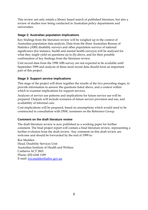This review not only entails a library based search of published literature, but also a review of studies now being conducted in Australian policy departments and universities.

### **Stage 2: Australian population implications**

Key findings from the literature review will be weighed up in the context of Australian population data analysis. Data from the three Australian Bureau of Statistics (ABS) disability surveys and other population surveys of national significance (for instance, health and mental health surveys) will be analysed for what they might yield on questions (a) to (h) above, and for their possible confirmation of key findings from the literature review.

Unit record data from the 1998 ABS survey are not expected to be available until September 1999 and analysis of these most recent data should form an important part of this project.

### **Stage 3: Support service implications**

This stage of the project will draw together the results of the two preceding stages, to provide information to answer the questions listed above, and a context within which to examine implications for support services.

Analyses of service use patterns and implications for future service use will be prepared. Outputs will include scenarios of future service provision and use, and availability of informal care.

Cost implications will be prepared, based on assumptions which would need to be constructed in consultation with DSSC nominees on the Reference Group.

#### **Comment on the draft literature review**

The draft literature review is now published as a working paper for further comment. The final project report will contain a final literature review, representing a further evolution from the draft review. Any comment on this draft review are welcome and should be forwarded by the end of 1999 to:

Ros Madden Head, Disability Services Unit Australian Institute of Health and Welfare Canberra ACT 2601 Phone: (02) 6244 1189 E-mail: ros.madden@aihw.gov.au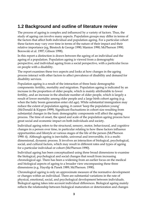### **1.2 Background and outline of literature review**

The process of ageing is complex and influenced by a variety of factors. Thus, the study of ageing can involve many aspects. Population groups may differ in terms of the factors that affect both individual and population ageing. For a particular cohort these factors may vary over time in terms of the nature of their impact and their relative importance (eg, Binstock & George 1990; Manton 1990; McPherson 1990; Borowski et al. 1997; Gibson 1998).

In this report a distinction is drawn between the ageing of an individual and the ageing of a population. Population ageing is viewed from a demographic perspective, and individual ageing from a social perspective, with a particular focus on people with a disability.

The report examines these two aspects and looks at how changes in the ageing process interact with other factors to affect prevalence of disability and demand for disability services.

Population ageing is a result of the interaction of three basic demographic components: fertility, mortality and migration. Population ageing is indicated by an increase in the proportion of older people, which is mainly attributable to lower fertility, and an increase in the absolute number of older people, which is largely a result of lower mortality among older people and a large birth cohort ageing (e.g. when the baby boom generation enter old age). While substantial immigration may reduce the extent of population ageing, it cannot 'keep the population young' (McDonald & Kippen 1999). Significant fluctuations in cohort size resulting from substantial changes in the basic demographic components will affect the ageing process. The time of onset, the speed and scale of the population ageing process have great social and economic impact on both individuals and society.

Individual ageing refers to the structural, sensory, motor, behavioural, and cognitive changes in a person over time, in particular relating to how these factors influence opportunities and lifestyle at various stages of the life of the person (McPherson 1990: 4). Although ageing is inevitable, universal and irreversible, it is a multidimensional, dynamic process. It involves an interaction of biological, psychological, social, and cultural factors, which may result in different rates and types of ageing for a particular individual or cohort (McPherson 1990).

Individual ageing has been conceptualised using three broad dimensions to examine the biological, psychological and social changes that result from increasing chronological age. There has been a widening from an earlier focus on the medical and biological aspects of ageing to a broader view encompassing these three dimensions (e.g. Hayslip & Panek 1989; McPherson. 1990).

Chronological ageing is only an approximate measure of the normative development or changes within an individual. There are substantial variations in the rate of physical, emotional, social, and psychological development between individuals. Biological ageing takes into account individual differences. Biological ageing mainly reflects the relationship between biological maturation or deterioration and changes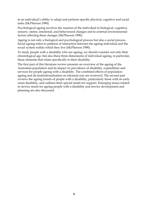in an individual's ability to adapt and perform specific physical, cognitive and social tasks (McPherson 1990).

Psychological ageing involves the reaction of the individual to biological, cognitive, sensory, motor, emotional, and behavioural changes and to external environmental factors affecting these changes (McPherson 1990).

Ageing is not only a biological and psychological process but also a social process. Social ageing refers to patterns of interaction between the ageing individual and the social system within which they live (McPherson 1990).

To study people with a disability who are ageing, we should consider not only their chronological age, but also these three dimensions of individual ageing, in particular, those elements that relate specifically to their disability.

The first part of this literature review presents an overview of the ageing of the Australian population and its impact on prevalence of disability, expenditure and services for people ageing with a disability. The combined effects of population ageing and de-institutionalisation on informal care are reviewed. The second part reviews the ageing trends of people with a disability, particularly those with an early onset disability, and outlines their special needs for support. Emerging issues related to service needs for ageing people with a disability and service development and planning are also discussed.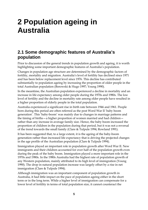# **2 Population ageing in Australia**

### **2.1 Some demographic features of Australia's population**

Prior to discussion of the general trends in population growth and ageing, it is worth highlighting some important demographic features of Australia's population.

Changes in population age structure are determined by the demographic factors of fertility, mortality and migration. Australia's level of fertility has declined since 1971 and has been below replacement level since 1976. This decline has contributed substantially to population ageing by increasing the proportion of older people in the total Australian population (Borowski & Hugo 1997; Young 1990).

In the meantime, the Australian population experienced a decline in mortality and an increase in life expectancy among older people during the 1970s and 1980s. The low level of fertility and the decline in mortality rate among older people have resulted in a higher proportion of elderly people in the total population.

Australia experienced a significant rise in birth rate between 1946 and 1961. People born during this period are often referred as the post Word War II 'baby boom generation'. This 'baby-boom' was mainly due to changes in marriage patterns and the timing of births—a higher proportion of women married and had children rather than any increase in average family size. Hence, the baby boom increased the proportion of children in the population during that period, but it was not a reversal of the trend towards the small family (Clare & Tulpule 1994; Rowland 1991).

It has been suggested that, to a large extent, it is the ageing of the baby-boom generation rather than increased life expectancy that is driving the projected changes in the age profile of the Australian population (Clare & Tulpule 1994).

Immigration played an important role in population growth after Word War II. New immigrants and their children accounted for over half of the population growth even during the peak of the baby boom. Immigration played a more important role in the 1970s and 1980s. In the 1980s Australia had the highest rate of population growth of any Western population, mainly attributed to its high level of immigration (Young 1990). The drop in natural population increase was largely offset by a rise in net immigration (Clare & Tulpule 1994).

Although immigration was an important component of population growth in Australia, it had little impact on the pace of population ageing either in the short term or in the long term. While a higher level of immigration can compensate for a lower level of fertility in terms of total population size, it cannot counteract the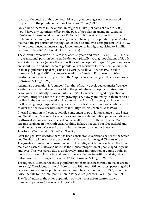severe undercutting of the age pyramid at the youngest ages nor the increased proportion of the population at the oldest ages (Young 1990).

Only a huge increase in the annual immigrant intake (net gains of over 280,000) would have any significant effect on the pace of population ageing in Australia (Centre for International Economics 1988 cited in Borowski & Hugo 1997). The problem is that immigrants will also get older. To keep the population 'young'—to maintain the proportion of the population aged 65 and over at its present level of 12.2 %—we would need an increasingly large number of immigrants, rising to 4 million per annum by 2048 (McDonald & Kippen 1999).

The current proportion of Australians aged 65 years and over (12.2%) puts Australia in a transitional position between the demographically 'young' populations of Southeast Asia and Africa (where the proportions of the population aged 65 years and over are about 4% to 5%) and the 'old' populations of Northern Europe (with about 15% of their populations aged 65 years and over) (Kinsella & Taeuber 1993 cited in Borowski & Hugo 1997). In comparison with the Western European countries, Australia has a smaller proportion of the 65-plus population aged 80 years and over (Borowski & Hugo 1997).

Australia's population is 'younger' than that of many developed countries because Australia was much slower in reaching the point where its population structure began ageing markedly (Clare & Tulpule 1994). However, the aged population of Western European countries is now growing very slowly and many of them expect a decline in their older population. In contrast, the Australian aged population has itself been ageing comparatively quickly over the last decade and will continue to do so over the next few decades (Borowski & Hugo 1997; Gibson & Goss 1998).

Internal migration is the most volatile component of population change in the States and Territories. Over recent years, the overall interstate migration patterns indicate a northward stream on the east coast and a smaller stream to the west coast. Both streams originate in the south-east, resulting in large net gains for Queensland and small net gains for Western Australia, but net losses for all other States and Territories (Wettenhall 1995; ABS 1998a: 36).

Over the past two decades there has been considerable variations between the States and Territories in terms of the proportion of the population aged 65 years or over. The greatest change has occurred in South Australia, which has overtaken the three mainland eastern states and now has the highest proportion of people aged 65 years and over. This was partly due to a relatively larger immigration of young adults in the 1950s to South Australia, and partly due to a decline in fertility and significant out-migration of young adults in the 1970s (Borowski & Hugo 1997: 37).

Throughout Australia the older population tends to be concentrated in major urban areas (10,000 residents or more). Between the 1981 and 1991 censuses, people aged 65 years and over in metropolitan areas increased by an annual rate of 2.9%, more than twice the rate for the total population in large cities (Borowski & Hugo 1997: 37).

The distribution of the older population outside major urban centres shows a number of patterns (Borowski & Hugo 1997):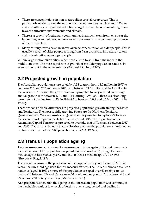- There are concentrations in non-metropolitan coastal resort areas. This is particularly evident along the northern and southern coast of New South Wales and in south-eastern Queensland. This is largely driven by retirement migration towards attractive environments and climate.
- There is a growth of retirement communities in attractive environments near the large cities, as retired people move away from areas within commuting distance of their workplace.
- Many country towns have an above-average concentration of older people. This is usually a result of older people retiring from farm properties into nearby towns and out-migration of younger people.

Within large metropolitan cities, older people tend to shift from the inner to the middle suburbs. The most rapid rate of growth of the older population tends to be even further out in the outer suburbs (Borowski & Hugo 1997).

## **2.2 Projected growth in population**

The Australian population is projected by ABS to grow from 18.5 million in 1997 to between 22.1 and 23.1 million in 2021, and between 23.5 million and 26.4 million in the year 2051. Although the growth rates are projected to vary around an average annual growth rate between 1.0% and 1.1% during 1997–2001, there is a clear longterm trend of decline from 1.2% in 1996–97 to between 0.0% and 0.3% by 2051 (ABS 1998a).

There are considerable differences in projected population growth among the States and Territories. The most rapidly growing States are the Northern Territory, Queensland and Western Australia. Queensland is projected to replace Victoria as the second most populous State between 2022 and 2048. The population of the Australian Capital Territory is projected to overtake that of Tasmania between 2037 and 2043. Tasmania is the only State or Territory where the population is projected to decline under each of the ABS projection series (ABS 1998a:2).

## **2.3 Trends in population ageing**

Two measures are usually used to measure population ageing. The first measure is the median age of the population. A population is considered 'young' if it has a median age of less than 20 years, and 'old' if it has a median age of 30 or over (Shryock & Siegel, 1976).

The second measure is the proportion of the population beyond the age of 60 or 65 years (the threshold age used for this measure varies). The United Nations classifies a nation as 'aged' if 10% or more of the population are aged over 60 or 65 years, as 'mature' if between 7% and 9% are over 60 or 65, and as 'youthful' if between 4% and 6% are over 60 or 65 years of age (McPherson 1990).

ABS projections show that the ageing of the Australian population will continue, as the inevitable result of low levels of fertility over a long period and decline in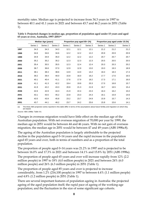mortality rates. Median age is projected to increase from 34.3 years in 1997 to between 40.1 and 41.1 years in 2021 and between 43.7 and 46.2 years in 2051 (Table 1).

|      |          | <b>Median Age (years)</b> |          |          | Proportion pop aged 65+ (%) |          | Proportion pop aged under 15 (%) |          |          |  |  |
|------|----------|---------------------------|----------|----------|-----------------------------|----------|----------------------------------|----------|----------|--|--|
|      | Series 1 | Series 2                  | Series 3 | Series 1 | Series 2                    | Series 3 | Series 1                         | Series 2 | Series 3 |  |  |
| 1997 | 34.3     | 34.3                      | 34.3     | 12.1     | 12.1                        | 12.1     | 21.2                             | 21.2     | 21.2     |  |  |
| 1998 | 34.6     | 34.6                      | 34.6     | 12.2     | 12.2                        | 12.2     | 20.9                             | 20.9     | 20.9     |  |  |
| 1999 | 34.9     | 34.9                      | 35.0     | 12.2     | 12.2                        | 12.2     | 20.7                             | 20.7     | 20.7     |  |  |
| 2000 | 35.2     | 35.2                      | 35.2     | 12.3     | 12.3                        | 12.3     | 20.5                             | 20.5     | 20.5     |  |  |
| 2001 | 35.4     | 35.5                      | 35.5     | 12.3     | 12.4                        | 12.4     | 20.3                             | 20.3     | 20.2     |  |  |
| 2006 | 36.7     | 36.8                      | 37.0     | 12.9     | 12.9                        | 13.0     | 19.3                             | 19.3     | 18.9     |  |  |
| 2011 | 38.1     | 38.3                      | 38.6     | 13.9     | 14.0                        | 14.2     | 18.4                             | 18.3     | 17.4     |  |  |
| 2016 | 39.2     | 39.4                      | 40.0     | 15.8     | 16.0                        | 16.2     | 17.7                             | 17.6     | 16.5     |  |  |
| 2021 | 40.1     | 40.4                      | 41.1     | 17.6     | 17.9                        | 18.2     | 17.3                             | 17.1     | 16.0     |  |  |
| 2026 | 41.1     | 41.3                      | 42.2     | 19.4     | 19.8                        | 20.3     | 17.0                             | 16.8     | 15.7     |  |  |
| 2031 | 41.9     | 42.2                      | 43.3     | 20.8     | 21.3                        | 21.9     | 16.7                             | 16.5     | 15.4     |  |  |
| 2036 | 42.6     | 42.9                      | 44.3     | 21.9     | 22.4                        | 23.3     | 16.3                             | 16.2     | 15.0     |  |  |
| 2041 | 43.1     | 43.5                      | 45.2     | 22.8     | 23.3                        | 24.3     | 16.1                             | 15.9     | 14.6     |  |  |
| 2046 | 43.5     | 43.9                      | 45.8     | 23.2     | 23.7                        | 24.9     | 15.9                             | 15.7     | 14.3     |  |  |
| 2051 | 43.7     | 44.1                      | 46.2     | 23.7     | 24.2                        | 25.6     | 15.8                             | 15.6     | 14.1     |  |  |

**Table 1: Projected changes in median age, proportion of population aged under 15 years and aged 65 years or over, Australia, 1997–2051(a)**

(a) The three ABS projection series reported in this table differ in terms of the assumptions about future fertility and migration on which they are based.

*Source:* ABS 1998a: Table 4.6.

Changes in overseas migration would have little effect on the median age of the Australian population. With net overseas migration of 70,000 per year by 1999, the median age in 2051 would be between 44 and 46 years. With no net gain of overseas migration, the median age in 2051 would be between 47 and 49 years (ABS 1998a:8).

The ageing of the Australian population is largely attributable to the projected decline in the population aged 0–14 years and the rapid increase in the population aged 65 years and over, both in terms of numbers and as a proportion of the total population.

The proportion of people aged 0–14 years was 21.2% in 1997 and is projected to be between 16.0% and 17.3% in 2021 and between 14.1% and 15.8% by 2051 (ABS 1998a).

The proportion of people aged 65 years and over will increase rapidly from 12% (2.2 million people) in 1997 to 18% (4.0 million people) in 2021 and between 24% (6.0 million people) and 26% (6.3 million people) in 2051 (Table 1).

The proportion of people aged 85 years and over is projected to increase considerably, from 1.2% (216,100 people) in 1997 to between 4.4% (1.1 million people) and 4.8% (1.2 million people) in 2051 (Table 1).

There are several important features of population ageing in Australia: the projected ageing of the aged population itself; the rapid pace of ageing of the working-age population; and the fluctuation in the size of some significant age cohorts.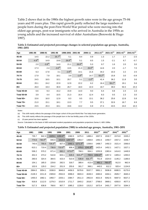Table 2 shows that in the 1980s the highest growth rates were in the age groups 75–84 years and 85 years plus. This rapid growth partly reflected the large numbers of people born during the post-First World War period who were moving into the oldest age groups, post-war immigrants who arrived in Australia in the 1950s as young adults and the increased survival of older Australians (Borowski & Hugo 1997).

| Age                | 1981-86      | 1986-91      | 1991-96      | 1996-2001    | 2001-06      | 2006-11      | $2011 - 21^{(c)}$ | $2021 - 31^{(c)}$ | $2031 - 41^{(c)}$ | $2041 - 51^{(c)}$ |
|--------------------|--------------|--------------|--------------|--------------|--------------|--------------|-------------------|-------------------|-------------------|-------------------|
| 45-49              | 14.5         | 22.2         | $25.7^{(a)}$ | 5.1          | 8.4          | 0.9          | 1.3               | 1.7               | 2.7               | $-2.5$            |
| 50-54              | $-4.9^{(b)}$ | 14.9         | 19.8         | $26.9^{(a)}$ | 5.1          | 8.5          | 1.5               | $-2.1$            | 6.7               | $-0.7$            |
| 55-59              | 2.0          | $-3.9^{(b)}$ | 14.0         | 21.1         | $26.9^{(a)}$ | 5.3          | 9.7               | 1.6               | 2.0               | 3.0               |
| 60-64              | 17.3         | 2.4          | $-3.6^{(b)}$ | 13.5         | 21.3         | $26.9^{(a)}$ | 14.6              | 2.0               | $-1.7$            | 7.0               |
| 65-69              | 6.3          | 17.8         | 3.1          | $-2.8^{(b)}$ | 14.1         | 21.6         | 34.2              | 10.3              | 2.2               | 2.5               |
| 70-74              | 17.9         | 7.9          | 18.1         | 3.9          | $-1.8^{(b)}$ | 14.7         | $55.2^{(a)}$      | 15.8              | 3.0               | $-0.9$            |
| 75-79              | 24.5         | 18.5         | 10.1         | 20.7         | 5.1          | $-1.0^{(b)}$ | 41.4              | 36.2              | 11.8              | 3.6               |
| 80-84              | 20.1         | 24.2         | 22.9         | 12.9         | 22.2         | 6.2          | 16.4              | $59.1^{(a)}$      | 19.1              | 5.6               |
| $85+$              | 26.0         | 19.3         | 30.9         | 26.7         | 18.0         | 22.0         | 19.7              | 39.0              | 50.3              | 23.3              |
| <b>Total 45-64</b> | 6.6          | 9.3          | 15.2         | 15.9         | 14.0         | 9.0          | 6.4               | 0.8               | 2.4               | 1.6               |
| <b>Total 50-64</b> | 3.9          | 4.4          | 10.5         | 21.3         | 16.4         | 12.4         | 8.3               | 0.5               | 2.3               | 3.0               |
| Total 65+          | 15.6         | 16.0         | 12.9         | 8.3          | 9.5          | 13.1         | 36.2              | 25.6              | 12.8              | 5.8               |
| Total 70+          | 21.0         | 15.1         | 18.1         | 13.3         | 7.7          | 9.5          | 37.1              | 32.6              | 16.7              | 6.9               |
| Total 75+          | 23.5         | 20.3         | 18.1         | 19.6         | 13.2         | 6.9          | 27.4              | 43.5              | 24.0              | 10.3              |

**Table 2: Estimated and projected percentage changes in selected population age groups, Australia, 1981–2051** 

*Notes:*

(a) This shift mainly reflects the passage of the larger cohort of the post-World War Two baby-boom generation.

(b) This shift mainly reflects the passage of the people born in the low fertility years of the 1930s.

(c) 10-year period has been applied.

*Source:* Calculated on the basis of ABS estimated resident populations and population projections Series II; ABS 1998a.

| Table 3: Estimated and projected population ('000) in selected age groups, Australia, 1981-2051 |  |  |  |  |
|-------------------------------------------------------------------------------------------------|--|--|--|--|
|                                                                                                 |  |  |  |  |

| Age                | 1981   | 1986          | 1991          | 1996           | 2001           | 2006           | 2011                 | $2021^{(c)}$   | $2031^{(c)}$  | $2041^{(c)}$ | $2051^{(c)}$ |
|--------------------|--------|---------------|---------------|----------------|----------------|----------------|----------------------|----------------|---------------|--------------|--------------|
| 45-49              | 735.7  | 842.3         | 1029.1        | $1293.9^{(a)}$ | 1360.5         | 1475.3         | 1488.4               | 1507.5         | 1532.7        | 1574.8       | 1535.2       |
| 50-54              | 774.6  | $736.9^{(b)}$ | 846.9         | 1014.9         | $1287.5^{(a)}$ | 1353.7         | 1468.8               | 1491.5         | 1459.7        | 1557.2       | 1546.7       |
| 55-59              | 740.6  | 755.5         | $726.0^{(b)}$ | 827.4          | 1002.1         | $1271.3^{(a)}$ | 1338.6               | 1468.7         | 1492.3        | 1521.4       | 1566.6       |
| 60-64              | 613.1  | 719.4         | 736.9         | $710.5^{(b)}$  | 806.4          | 978.3          | $1241.9^{(a)}$       | 1423.4         | 1452.1        | 1427.1       | 1527.1       |
| 65-69              | 536.2  | 570.2         | 671.4         | 692.2          | $673.0^{(b)}$  | 768.1          | 934.1                | 1253.9         | 1383.4        | 1414.0       | 1449.9       |
| 70-74              | 401.5  | 473.2         | 510.8         | 603.1          | 626.5          | $615.2^{(b)}$  | 705.5                | $1094.6^{(a)}$ | 1267.4        | 1305.4       | 1293.0       |
| 75-79              | 260.6  | 324.4         | 384.5         | 423.4          | 510.9          | 536.9          | 531.7 <sup>(b)</sup> | 751.8          | 1024.0        | 1145.2       | 1186.6       |
| 80-84              | 154.1  | 185.0         | 229.8         | 282.5          | 318.7          | 389.4          | 413.4                | 481.1          | $765.5^{(a)}$ | 912.0        | 962.9        |
| $85 +$             | 102.6  | 129.3         | 154.2         | 201.9          | 255.6          | 301.7          | 368.1                | 440.5          | 612.2         | 920.4        | 1134.8       |
| <b>Total 45-64</b> | 2864.0 | 3054.1        | 3338.9        | 3846.8         | 4456.5         | 5078.6         | 5537.7               | 5891.1         | 5936.8        | 6080.5       | 6175.6       |
| <b>Total 50-64</b> | 2128.3 | 2211.8        | 2309.8        | 2552.8         | 3096.0         | 3603.3         | 4049.3               | 4383.6         | 4404.1        | 4505.7       | 4640.4       |
| Total 65+          | 1455.0 | 1682.1        | 1950.7        | 2203.1         | 2384.7         | 2611.3         | 2952.8               | 4021.9         | 5052.5        | 5697.0       | 6027.2       |
| Total 70+          | 918.8  | 1112.0        | 1279.3        | 1510.9         | 1711.7         | 1843.2         | 2018.7               | 2768.0         | 3669.1        | 4283.0       | 4577.3       |
| Total 75+          | 517.3  | 638.8         | 768.6         | 907.7          | 1085.2         | 1228.0         | 1313.2               | 1673.4         | 2401.7        | 2977.6       | 3284.3       |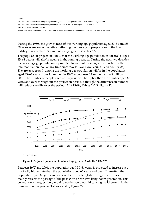#### *Notes:*

(a) This shift mainly reflects the passage of the larger cohort of the post-World War Two baby-boom generation.

(b) This shift mainly reflects the passage of the people born in the low fertility years of the 1930s.

(c) 10-year period has been applied.

Source: Calculated on the basis of ABS estimated resident populations and population projections Series II; ABS 1998a.

During the 1980s the growth rates of the working-age population aged 50–54 and 55– 59 years were low or negative, reflecting the passage of people born in the low fertility years of the 1930s into older age groups (Tables 2 & 3).

The population projections show that the working-age population in Australia (aged 15–64 years) will also be ageing in the coming decades. During the next two decades the working-age population is projected to account for a higher proportion of the total population than at any time since World War Two (Young 1990; ABS 1998a). The greatest growth among the working-age population will be in the population aged 45–64 years, from 4.0 million in 1997 to between 6.1 million and 6.5 million in 2051. The number of people aged 45–64 years will be higher than the number aged 65 years and over throughout the projection period, although the difference in number will reduce steadily over the period (ABS 1998a; Tables 2 & 3; Figure 1).



Between 1997 and 2006, the population aged 50–64 years is projected to increase at a markedly higher rate than the population aged 65 years and over. Thereafter, the population aged 65 years and over will grow faster (Table 2; Figure 2). This shift mainly reflects the passage of the post-World War Two baby-boom generation. This generation is progressively moving up the age pyramid causing rapid growth in the number of older people (Tables 2 and 3; Figure 2).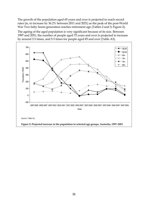The growth of the population aged 65 years and over is projected to reach record rates (ie, to increase by 36.2% between 2011 and 2021) as the peak of the post-World War Two baby boom generation reaches retirement age (Tables 2 and 3; Figure 2).

The ageing of the aged population is very significant because of its size. Between 1997 and 2051, the number of people aged 75 years and over is projected to increase by around 3.5 times, and 5.3 times for people aged 85 and over (Table A3).

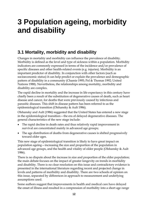# **3 Population ageing, morbidity and disability**

### **3.1 Mortality, morbidity and disability**

Changes in mortality and morbidity can influence the prevalence of disability. Morbidity is defined as the level and type of sickness within a population. Morbidity indicators are commonly expressed in terms of the incidence and/or prevalence of specific diseases and other health-related events (e.g. injuries). Morbidity is an important predictor of disability. In conjunction with other factors (such as socioeconomic status) it can help predict or explain the prevalence and demographic pattern of disability in a community (Chamie 1995; Pol & Thomas 1992; United Nations 1988). Nevertheless, the relationships among mortality, morbidity and disability are complex.

The rapid decline in mortality and the increase in life expectancy in this century have chiefly been a result of the substitution of degenerative causes of death, such as heart disease and cancer, for deaths that were previously caused by infectious and parasitic diseases. This shift in disease pattern has been referred to as the epidemiological transition (Olshansky & Ault 1986).

Olshansky and Ault (1986) suggested that the United States has entered a new stage in the epidemiological transition—the era of delayed degenerative diseases. The general characteristics of the new stage include:

- The rapid decline in death rates and thus relatively rapid improvement in survival are concentrated mainly in advanced age groups;
- The age distribution of deaths from degenerative causes is shifted progressively toward older ages.

This new stage of epidemiological transition is likely to have great impact on population ageing—increasing the size and proportion of the population in advanced age groups, and the health and vitality of older people (Olshansky & Ault 1986).

There is no dispute about the increase in size and proportion of the older population; the main debate focuses on the impact of greater longevity on trends in morbidity and disability. There is no clear resolution on this issue and contradictory evidence is presented in the international literature regarding recent and projected change in levels and patterns of morbidity and disability. There are two schools of opinion on this issue, separated by differences in approach to measurement and underlying assumptions used.

Some authors suggest that improvements in health and medical care have delayed the onset of illness and resulted in a compression of morbidity into a short age range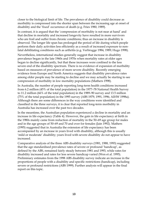closer to the biological limit of life. The prevalence of disability could decrease as morbidity is compressed into the shorter span between the increasing age at onset of disability and the 'fixed' occurrence of death (e.g. Fries 1980, 1989).

In contrast, it is argued that the 'compression of morbidity is not near at hand' and that decline in mortality and increased longevity have resulted in more survivors who are frail and suffer from chronic conditions; thus an increase in disability is observed. The longer life span has prolonged the period of life during which people perform their daily activities less efficiently as a result of increased exposure to nonfatal debilitating conditions such as arthritis (e.g. Verbrugge 1984, 1989; Hugo 1998).

Nevertheless, international studies generally suggest that increase in disability prevalence began in the late 1960s and 1970s when mortality rates at older ages began to decline significantly, but that these increases were confined to the less severe end of the disability spectrum. There is no evidence of expansion of morbidity based on measures of prevalence of more severe disability. Recently emerging evidence from Europe and North America suggests that disability prevalence rates among older people may be starting to decline and we may actually be starting to see compression of morbidity in low mortality populations (Mathers 1998).

In Australia, the number of people reporting long-term health conditions increased from 6.2 million (45% of the total population) in the 1977–78 National Health Survey to 11.2 million (66% of the total population) in the 1989–90 survey and 13.5 million (75% of the total population) in the 1995 survey (ABS 1979, 1991, 1996; AIHW 1998a). Although there are some differences in the way conditions were identified and classified in the three surveys, it is clear that reported long-term morbidity in Australia has increased over the past two decades.

In the meantime, the Australian population experienced a decline in mortality and an increase in life expectancy (Table 4). However, the gain in life expectancy at birth in the 1980s mainly came from reduction of mortality in the 50–69 age group for males and in the age groups of 50–69 and 70 and over for females (Jain 1992). Mathers (1995) suggested that in Australia the extension of life expectancy has been accompanied by an increase in years lived with disability, although this is usually 'mild or moderate' disability; years lived with severe disability do not appear to have increased.

Comparative analysis of the three ABS disability surveys (1981, 1988, 1993) suggested that the age standardised prevalence rates of severe or profound 'handicap', as defined by the ABS, remained fairly steady between 1981 and 1993, while rates for disability increased and rates for less severe handicap varied (Wen et al. 1995). Preliminary estimates from the 1998 ABS disability survey indicate an increase in the proportions of people with a disability and specific restrictions (handicap), including severe or profound restrictions (ABS 1999). Further analysis will appear in the final report on this topic.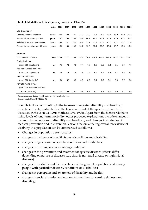|                                    | <b>Units</b>  | 1986  | 1987  | 1988  | 1989  | 1990  | 1991  | 1992  | 1993  | 1994  | 1995  | 1996  |
|------------------------------------|---------------|-------|-------|-------|-------|-------|-------|-------|-------|-------|-------|-------|
| <b>Life Expectancy</b>             |               |       |       |       |       |       |       |       |       |       |       |       |
| Male life expectancy at birth      | vears         | 72.8  | 73.0  | 73.1  | 73.3  | 73.9  | 74.4  | 74.5  | 75.0  | 75.0  | 75.0  | 75.2  |
| Female life expectancy at birth    | vears         | 79.1  | 79.5  | 79.5  | 79.6  | 80.1  | 80.4  | 80.4  | 80.9  | 80.9  | 80.8  | 81.1  |
| Male life expectancy at 65 years   | vears         | 14.6  | 14.7  | 14.8  | 14.7  | 15.2  | 15.4  | 15.7  | 15.7  | 15.7  | 15.7  | 15.8  |
| Female life expectancy at 65 years | vears         | 18.5  | 18.6  | 18.7  | 18.7  | 19.0  | 19.1  | 19.2  | 19.5  | 19.7  | 19.5  | 19.6  |
|                                    |               |       |       |       |       |       |       |       |       |       |       |       |
| <b>Mortality</b>                   |               |       |       |       |       |       |       |       |       |       |       |       |
| Total number of deaths             | $000^{\circ}$ | 115.0 | 117.3 | 119.9 | 124.2 | 120.1 | 119.1 | 123.7 | 121.6 | 126.7 | 125.1 | 128.7 |
| Crude death rate                   |               |       |       |       |       |       |       |       |       |       |       |       |
| (per 1,000 population)             | no.           | 7.2   | 7.2   | 7.2   | 7.4   | 7.0   | 6.9   | 7.1   | 6.9   | 7.1   | 6.9   | 7.0   |
| Age standardised death rate        |               |       |       |       |       |       |       |       |       |       |       |       |
| (per 1,000 population)             | no.           | 7.6   | 7.6   | 7.5   | 7.6   | 7.2   | 6.9   | 6.9   | 6.6   | 6.7   | 6.5   | 6.4   |
| Infant mortality rate              |               |       |       |       |       |       |       |       |       |       |       |       |
| (per 1,000 live births)            | no.           | 8.8   | 8.7   | 8.7   | 8.0   | 8.2   | 7.1   | 7.0   | 6.1   | 5.9   | 5.7   | 5.8   |
| Perinatal mortality rate           |               |       |       |       |       |       |       |       |       |       |       |       |
| (per 1,000 live births and fetal   |               |       |       |       |       |       |       |       |       |       |       |       |
| Deaths combined)                   | no.           | 11.5  | 10.6  | 10.7  | 9.9   | 10.3  | 9.6   | 9.4   | 8.2   | 8.0   | 8.1   | 8.5   |

#### **Table 4: Mortality and life expectancy, Australia, 1986-1996**

Reference periods: Data on health status are for the calendar year.

*Source:* Adapted from ABS 1998b: 48.

Possible factors contributing to the increase in reported disability and handicap prevalence levels, particularly at the less severe end of the spectrum, have been discussed (Otis & Howe 1991; Mathers 1991, 1996). Apart from the factors related to rising levels of long-term morbidity, other proposed explanations include changes in community perceptions of disability and handicap, and changes in strategies of medical prevention and intervention. Various factors affecting overall prevalence of disability in a population can be summarised as follows:

- Changes in population age structures;
- changes in incidence of specific types of condition and disability;
- changes in age at onset of specific conditions and disabilities;
- changes in the diagnosis of disabling conditions;
- changes in the prevention and treatment of specific diseases (effects differ depending on nature of diseases, i.e., chronic non-fatal disease or highly fatal diseases);
- changes in mortality and life expectancy of the general population and among people with particular diseases, conditions or disabilities;
- changes in perception and awareness of disability and health;
- changes in social attitudes and economic incentives concerning sickness and disability;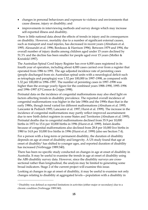- changes in personal behaviours and exposure to violence and environments that cause disease, injury or disability; and
- improvements in interviewing methods and survey design which may increase self-reported illness and disability.

There is little national data about the effects of trends in injury and its consequences on disability. However, mortality due to a number of significant external causes, such as transport and road injuries, has decreased in recent years (Abraham et al. 1995; Alessandri et al. 1996; Bordeaux & Harrison 1996). Between 1979 and 1994, the overall number of injury deaths among children aged under 15 years declined by 51.3% and the decline has been smaller for people aged over 15 years (Moller & Kreisfeld 1997).

The Australian Spinal Cord Injury Register has over 6,000 cases registered in its fourth year of operation, including about 4,000 cases carried over from a register that operated from 1986 to 1991. The age adjusted incidence rate of persisting cases (people discharged from six Australian spinal units with a neurological deficit such as tetraplegia and paraplegia) was 1.52 per 100,000 in 1997–1998, as compared with 1.32 per 100,000 in 1996–1997. The number of persisting cases in 1997–1998 was higher than the average yearly figure for the combined years 1988–1990, 1995–1996 and 1996–1997 (O'Connor & Cripps 1998).

Perinatal data on the incidence of congenital malformations may also shed light on factors affecting trends in disability prevalence. The reported overall incidence of congenital malformations was higher in the late 1980s and the 1990s than that in the early 1980s, though trend varied for different malformations (Abraham et al. 1995; Lancaster & Pedisich 1995; Lancaster et al. 1997; Hurst et al. 1999). The increase in the incidence of congenital malformations may partly reflect improved ascertainment due to new birth defect registers in some States and Territories (Abraham et al. 1995). Perinatal deaths due to congenital malformations declined from 35.9 per 10,000 births in 1973 to 15.6 per 10,000 births in 1996 (Hurst et al. 1999). Infant deaths because of congenital malformations also declined from 28.8 per 10,000 live births in 1980 to 14.8 per 10,000 live births in 1996 (Hurst et al. 1999) (also see Section 7.4).

For a person with a long-term or permanent disability, the duration of disability depends on age at onset of disability and longevity. A US study found that age at onset of disability1 has shifted to younger ages, and reported duration of disability has increased (Verbrugge 1989:340).

There has been no specific study conducted on changes in age at onset of disability in Australia. It may be useful to examine the trends in age at onset of disability using the ABS disability survey data. However, since the disability surveys are crosssectional rather than longitudinal, the analysis may be limited to generating some broad indicators. Stage 2 of the current project will examine this issue.

Looking at changes in age at onset of disability, it may be useful to examine not only changes relating to disability at aggregated levels—population with a disability in

 $\overline{a}$ 

<sup>1</sup> Disability was defined as reported limitations in activities (either major or secondary) due to a chronic condition (Verbrugge 1989:340).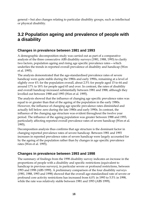general—but also changes relating to particular disability groups, such as intellectual or physical disability.

### **3.2 Population ageing and prevalence of people with a disability**

### **Changes in prevalence between 1981 and 1993**

A demographic decomposition study was carried out as part of a comparative analysis of the three consecutive ABS disability surveys (1981, 1988, 1993) to clarify two factors, population ageing and rising age specific prevalence rates—which underlies the trends in reported overall prevalence of disability and handicap (Wen et al. 1995).

The analysis demonstrated that the age-standardised prevalence rates of severe handicap were quite stable during the 1980s and early 1990s, remaining at a level of slightly over 4% for the population overall, about 2.5% for people aged 15 to 64 and around 17% to 18% for people aged 65 and over. In contrast, the rates of disability and overall handicap increased substantially between 1981 and 1988, although they levelled out between 1988 and 1993 (Wen et al. 1995).

The analysis showed that the influence of changing age specific prevalence rates was equal to or greater than that of the ageing of the population in the early 1980s. However, the influence of changing age specific prevalence rates diminished and actually fell below zero during the late 1980s and early 1990s. In contrast, the influence of the changing age structure was evident throughout the twelve year period. The influence of the ageing population was greater between 1988 and 1993, particularly affecting reported overall prevalence rates of severe handicap (Wen et al. 1995).

Decomposition analysis thus confirms that age structure is the dominant factor in changing reported prevalence rates of severe handicap. Between 1981 and 1993 increases in reported prevalence rates of severe handicap were largely accounted for by the ageing of the population rather than by changes in age specific prevalence rates (Wen et al. 1995).

### **Changes in prevalence between 1993 and 1998**

The summary of findings from the 1998 disability survey indicates an increase in the proportions of people with a disability and specific restrictions (equivalent to handicap in previous surveys), in particular severe or profound restrictions, between 1993 and 1998 (ABS 1999). A preliminary comparison of the four disability surveys (1981, 1988, 1993 and 1998) showed that the overall age-standardised rate of severe or profound core activity restrictions has increased from 4.0% in 1993 to 5.5% in 1998, while the rate was relatively stable between 1981 and 1993 (ABS 1999).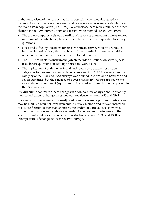In the comparison of the surveys, as far as possible, only screening questions common to all four surveys were used and prevalence rates were age standardised to the March 1998 population (ABS 1999). Nevertheless, there were a number of other changes in the 1998 survey design and interviewing methods (ABS 1993, 1999):

- The use of computer-assisted recording of responses allowed interviews to flow more smoothly, which may have affected the way people responded to survey questions.
- Need and difficulty questions for tasks within an activity were re-ordered, to improve interview flow; this may have affected results for the core activities which were used to identify severe or profound handicap.
- The SF12 health status instrument (which included questions on activity) was used before questions on activity restrictions were asked.
- The application of both the profound and severe core activity restriction categories to the cared accommodation component. In 1993 the severe handicap category of the 1981 and 1988 surveys was divided into profound handicap and severe handicap, but the category of 'severe handicap' was not applied to the establishment component (equivalent to the cared accommodation component in the 1998 survey).

It is difficult to control for these changes in a comparative analysis and to quantify their contribution to changes in estimated prevalence between 1993 and 1998.

It appears that the increase in age-adjusted rates of severe or profound restrictions may be mainly a result of improvements in survey method and thus an increased case identification, rather than an increasing underlying prevalence. However, further investigation and analysis are needed to understand the increase in the severe or profound rates of core activity restrictions between 1993 and 1998, and other patterns of change between the two surveys.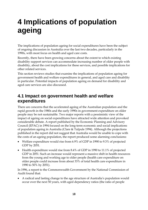# **4 Implications of population ageing**

The implications of population ageing for social expenditures have been the subject of ongoing discussion in Australia over the last two decades, particularly in the 1990s, with most focus on health and aged care costs.

Recently, there have been growing concerns about the extent to which existing disability support services can accommodate increasing number of older people with disability, about the cost implications for these services, and possible implications for other related services.

This section reviews studies that examine the implications of population ageing for government health and welfare expenditures in general, and aged care and disability in particular. Potential impacts of population ageing on demand for disability and aged care services are also discussed.

### **4.1 Impact on government health and welfare expenditures**

There are concerns that the accelerated ageing of the Australian population and the rapid growth in the 1980s and the early 1990s in government expenditure on older people may be not sustainable. Two major reports with a pessimistic view of the impact of ageing on social expenditures have attracted wide attention and provoked considerable debate. A report published by the Economic Planning and Advisory Council (EPAC) in 1994 focused on the long-term economic and social implications of population ageing in Australia (Clare & Tulpule 1994). Although the projections published in the report did not suggest that Australia would be unable to cope with the costs of an ageing population, the report produced some alarming conclusions:

- Welfare expenditure would rise from 6.9% of GDP in 1990 to 9.3% of projected GDP by 2051.
- Health expenditure would rise from 8.4% of GDP in 1990 to 11.1% of projected GDP in 2051. Such an increase would represent a massive shift in health resources from the young and working age to older people (health care expenditure on older people could increase from about 33% of total health care expenditure in 1990 to 50% by 2051).

In 1996, a report to the Commonwealth Government by the National Commission of Audit found that:

• A radical and lasting change to the age structure of Australia's population would occur over the next 50 years, with aged dependency ratios (the ratio of people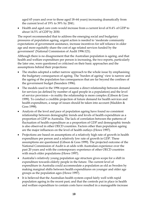aged 65 years and over to those aged 18–64 years) increasing dramatically from the current level of 19% to 39% by 2041;

• Health and aged care costs would increase from a current level of 8.4% of GDP to about 14.5% of GDP by 2030.

The report recommended that to address the emerging social and budgetary pressures of population ageing, urgent action is needed to 'moderate community expectations of government assistance, increase incentives for self reliance in older age and more equitably share the cost of age related services funded by the government' (National Commission of Audit 1996:121).

Although there is no disagreement that the Australian population is ageing, and that health and welfare expenditure per person is increasing, the two reports, particularly the later one, were questioned or criticised on their basic approaches and the assumptions behind their projections:

- The studies adopted a rather narrow approach to the whole issue by emphasising the budgetary consequences of ageing. The 'burden of ageing' view is narrow and the ageing of the population has consequences that are far beyond the confines of the government budget (Saunders 1996).
- The models used in the 1996 report assume a direct relationship between demand for services (as defined by number of aged people in a population) and the level of service provision—in reality the relationship is more complex (Gibson & Goss 1999). To conduct a credible projection of future demand for health services and health expenditure, a range of issues should be taken into account (Madden & Goss 1998).
- Analysis of the level and pace of population ageing have found no consistent relationship between demographic trends and levels of health expenditure as a proportion of GDP in Australia. The lack of correlation between the patterns of fluctuation of health expenditure as a proportion of GDP and demographic trends is also observed in other OECD countries. Factors other than population ageing are the major influences on the level of health outlays (Howe 1997).
- Projections are based on assumptions of a relatively high rate of growth in health expenditure per person and a relatively low rate of growth in GDP. These assumptions are questioned (Gibson & Goss 1999). The projected outcome of the National Commission of Audit is at odds with Australian experience over the past 20 years and with the contemporary experience of other OECD countries with much older populations (Howe 1997).
- Australia's relatively young population age structure gives scope for a shift in expenditure towards elderly people in the future. The current level of expenditure in Australia could accommodate a population as old as Sweden by making marginal shifts between health expenditures on younger and older age groups as the population ages (Howe 1997).
- It is believed that the Australian health system coped fairly well with rapid population ageing in the recent past; and that the controls put in place in health and welfare expenditure to contain costs have resulted in a manageable increase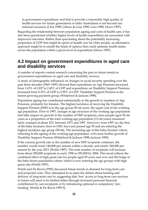in government expenditure; and that to provide a reasonably high quality of health services for future generations of older Australians is not beyond our national resources (Choi 1998; Gibson & Goss 1999; Goss 1998; Howe 1997).

Regarding the relationship between population ageing and costs of health care, it has also been questioned whether higher levels of health expenditure are associated with improved outcomes. Rather than speculating about the potentially increasing proportion of GDP that might be spent on health care for older people, an alternative approach might be to model the kinds of options that could optimise health status across the population within a given level of expenditure (Howe 1997).

### **4.2 Impact on government expenditures in aged care and disability services**

A number of reports contain research concerning the past or future trends in government expenditures on aged care and disability services.

A study of demographic influences on changes in social security spending over the past three decades (1965–1997) showed that expenditure on Age Pensions increased from 1.65% of GDP to 2.45% of GDP and expenditure on Disability Support Pensions increased from 0.32% of GDP to 0.99% of GDP. Disability Support Pension is the fastest growing payment group (Whiteford & Jackson 1998).

Population ageing has contributed substantially to the growth in numbers of Age Pensions, primarily for females. The highest incidence of receiving the Disability Support Pension (DSP) is in the age group 50–64 years, the upper end of the working age population. Prior to 1997, changes in age structure of the working age population had little impact on growth in the number of DSP recipients, since people aged 50–64 years as a proportion of the total working-age population (15–64 years) remained fairly constant at about 22% between 1971 and 1997. However, from 1997 on, the first of the baby boomers, born in 1945, have just passed age 50 and are entering the highest incidence age group (50-64). The increasing age of this baby-boomer cohort, reflecting in the ageing of the working-age population, will cause further growth of Disability Support Pension (Whiteford & Jackson 1998; Jackson 1999).

If the current growth rate in the number of new DSP recipients continues, the number would reach 140,000 per annum within a decade, and nearly 180,000 per annum by the year 2011 (Walsh 1997). The total number of recipients will increase from about 500,000 recipients in early 1996 to 935,000 by 2006. This trend reflects the combined effect of high grant rate for people aged 50 years and over and the bulge of the baby-boom population cohort, which is now entering the age groups with high grant rate (Walsh 1997).

Walsh and De Ravin (1995) discussed future trends in demand for long-term care and projected costs. They attempted to re-open the debate about funding and delivery of long-term care by suggesting that 'free' access to long-term care services in future will need to be limited either through increased personal financial contribution by care-recipients or by introducing optional or compulsory 'prefunding' (Walsh & De Ravin 1995:5).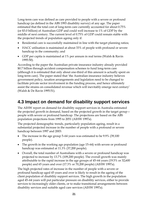Long-term care was defined as care provided to people with a severe or profound handicap (as defined in the ABS 1993 disability survey) of any age. The paper estimated that the total cost of long-term care currently accounted for about 0.75% (or \$3.0 billion) of Australian GDP and could well increase to 1% of GDP by the middle of next century. The current level of 0.75% of GDP could remain stable with the projected trends of population ageing only if:

- Residential care is successfully maintained in line with the target planning ratios;
- HACC utilisation is maintained at about 33% of people with profound or severe handicap in the community; and
- GDP per capita is maintained at 1% per annum in real terms (Walsh & Ravin 1995:50).

According to the paper the Australian private insurance industry already provided \$0.7 billion through accident compensation schemes to fund long-term care (although it is estimated that only about one-third of this amount is actually spent on long-term care). The paper stated that 'the Australian insurance industry believes government policy, taxation arrangements and legislation need to be changed to facilitate private sector involvement in the funding process, and hence ultimately assist the strains on consolidated revenue which will inevitably emerge next century' (Walsh & De Ravin 1995:51).

### **4.3 Impact on demand for disability support services**

The AIHW report on demand for disability support services in Australia estimated the projected growth in demand, based on the projected growth in the target group people with severe or profound handicap. The projections are based on the ABS population projections from 1995 to 2051 (AIHW 1997a).

The projected demographic trends, particularly population ageing, result in a substantial projected increase in the number of people with a profound or severe handicap between 1997 and 2003:

- The increase in the age group 5–64 years was estimated to be 9.9% (39,100 people).
- The growth in the working age population (age 15–64) with severe or profound handicap was estimated at 11.3% (37,200 people).
- Overall, the total number of Australians with a severe or profound handicap was projected to increase by 13.7% (109,200 people). The overall growth was mainly attributable to the rapid increase in the age groups of 45–64 years (19.5% or 32,600 people) and 65 years and over (17.3% or 70,200 people) (AIHW 1997a).

The high projected rates of increase in the number of people with a severe or profound handicap aged 45 years and over is likely to result in the ageing of the client population of disability support services. The high growth in the population aged 45–64 years will put particular pressure on disability services, either to provide services to increasingly older clients, or to make transitional arrangements between disability services and suitable aged care services (AIHW 1997a).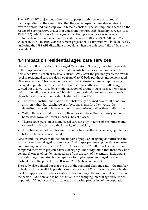The 1997 AIHW projections of numbers of people with a severe or profound handicap relied on the assumption that the age-sex-specific prevalence rates of severe or profound handicap would remain constant. The assumption is based on the results of a comparative analysis of data from the three ABS disability surveys (1981, 1988, 1993), which showed that age-standardised prevalence rates of severe or profound handicap remained fairly steady between 1981 and 1993 (AIHW 1997a; Wen et al. 1995). In stage 2 of the current project, this assumption will be reviewed by analysing the 1998 ABS disability survey data when the unit record file of the survey is available.

### **4.4 Impact on residential aged care services**

Under the policy directions of the Aged Care Reform Strategy, there has been a shift in the emphasis of care from residential towards home-based care in the aged care field since 1985 (Gibson et al. 1997; Gibson 1998). Over the past ten years, the overall level of residential care has declined from 99 to 92 beds per thousand persons aged 70 years and over. This reduction has occurred in during a time of rapid ageing of the aged population in Australia (Gibson 1998). Nevertheless, this shift is largely carried out in a way of a deinstitutionalisation of program structures rather than a deinstitutionalisation of people. This shift from residential to home based care is characterised by several important features (Gibson 1998):

- The level of institutionalisation has substantially declined as a result of natural attrition rather than discharge of individual clients. In other words, the deinstitutionalisation is largely due to non-admission rather than of discharge;
- Within the residential care sector, there is a shift from 'high intensity' nursing home beds towards 'lower intensity' hostel places;
- There is an expansion of home-based care not only in terms of the number and range of services but also the intensity of provision;
- An enhancement of respite care provisions has resulted in an emerging interface between home and residential care.

Gibson and Liu (1995) examined the impact of population ageing on future use and supply of residential aged care services. Their paper presented projections of hostel and nursing home use from 1993 to 2021, based on 1993 patterns of actual use, and compared them with projected levels of supply. The study found that there may be a general shortage of residential aged care from the turn of the century, including a likely shortage of nursing home type care for high-dependency aged people particularly in the period from 2006 and 2016 (Gibson & Liu 1995).

The study also pointed out that the use of the standard planning ratio—the number of beds or places available per thousand persons aged 70 and over—to describe the level of supply over time has significant shortcomings. The ratio was determined on the basis of 1983 data and is not sensitive to the changing internal age structure of population 70 and over, in particular the increasing proportion of the population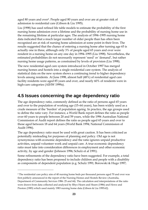aged 80 years and over2. People aged 80 years and over are at greater risk of admission to residential care (Gibson & Liu 1995).

Liu (1998) has used refined life table models to estimate the probability of the first nursing home admission over a lifetime and the probability of nursing home use in the remaining lifetime at particular ages. The analysis of 1994–1995 nursing home data indicated that a much larger number of older people than has often been recognised are at risk of nursing home admission at some point in their lives. The results suggested that the chance of entering a nursing home after turning age 65 is actually one in three, although only 3% of people aged 65 years and over were resident in a nursing home on any one day in 1994–1995 (Liu 1998). Nevertheless, the estimated probabilities do not necessarily represent 'need' or 'demand', but rather nursing home usage patterns, as constrained by levels of provision (Liu 1998).

The new residential aged care system introduced in October 1997 has merged nursing homes and hostels into a single residential care system. The analysis of statistical data on the new system shows a continuing trend to higher dependency levels among residents. At June 1998, almost half (48%) of residential aged care facility residents were aged 85 years and over, and nearly 60% of residents were in high-care categories (AIHW 1999a).

### **4.5 Issues concerning the age dependency ratio**

The age dependency ratio, commonly defined as the ratio of persons aged 65 years and over to the population of working age (15–64 years), has been widely used as a crude measure of the 'burden' of population ageing. In practice, the age groups used to define the ratio vary. For instance, a World Bank report defines the ratio as people over 60 years to people between 20 and 59 years, while the 1996 Australian National Commission of Audit report defines the ratio as people aged 65 years and over to those aged between 18 and 64 years (World Bank 1994; National Commission of Audit 1996).

The age dependency ratio must be used with great caution. It has been criticised as potentially misleading for purposes of planning and policy. Old age is not synonymous with economic dependency and the ratio ignores unpaid productive activities, unpaid volunteer work and unpaid care. A true economic dependency ratio must take into consideration differences in employment and other economic activity, by age and gender (Johnson 1996; Schulz et al 1991).

Some refinements of the dependency ratio have been suggested. For example, a total dependency ratio has been proposed to include children and people with a disability as components of dependent population (e.g. Schulz 1991; Borowski & Hugo 1997;

 $\overline{a}$ 

<sup>2</sup> The residential care policy aim of 40 nursing home beds per thousand persons aged 70 and over was first publicly announced in the report of the Nursing Homes and Hostels Review (Australia, Department of Community Services 1986: 25 and 44). The calculation and interpretations of the ratio were drawn from data collected and analysed by Rhys Hearn and Hearn (1986) and Howe and Preston (1985) which used mainly 1983 nursing home data (Gibson & Liu 1995:62).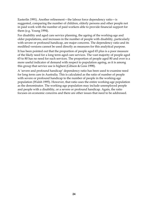Easterlin 1991). Another refinement—the labour force dependency ratio—is suggested, comparing the number of children, elderly persons and other people not in paid work with the number of paid workers able to provide financial support for them (e.g. Young 1994).

For disability and aged care service planning, the ageing of the working-age and older populations, and increases in the number of people with disability, particularly with severe or profound handicap, are major concerns. The dependency ratio and its modified versions cannot be used directly as measures for this analytical purpose.

It has been pointed out that the proportion of people aged 65 plus is a poor measure of the likely need for a long term aged care services. The vast majority of people aged 65 to 80 has no need for such services. The proportion of people aged 80 and over is a more useful indicator of demand with respect to population ageing, as it is among this group that service use is highest (Gibson & Goss 1998).

A 'severe and profound handicap' dependency ratio has been used to examine need for long term care in Australia. This is calculated as the ratio of number of people with severe or profound handicap to the number of people in the working-age population (Walsh 1995). However, that ratio uses the entire working-age population as the denominator. The working-age population may include unemployed people and people with a disability, or a severe or profound handicap. Again, the ratio focuses on economic concerns and there are other issues that need to be addressed.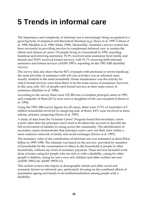# **5 Trends in informal care**

The importance and complexity of informal care is increasingly being recognised in a growing body of empirical and theoretical literature (e.g. Howe et al. 1997; Gibson et al. 1996; Madden et al. 1996; Sitsky 1994). Meanwhile, Australia's service system has been successful in providing services to complement informal care, to sustain the efforts and choices of carers. Of people living in a household in 1993, reporting handicap and receiving assistance, 91.9% received some assistance from family and friends and 39.8% received formal services, with 31.7% receiving both informal assistance and formal services (AIHW 1997a: reporting on the 1993 ABS disability survey).

The survey data also show that for 82% of people with profound or severe handicap, the main provider of assistance with self-care activities was an informal carer, usually resident in the same household. Home maintenance was the activity for which formal services were most likely to be the main source of assistance, but even in this area, only 14% of people used formal services as their main source of assistance (Madden et al. 1996).

According to the survey there were 152,300 non co-resident principal carers in 1993 and a majority of them (61%) were sons or daughters of the care recipient (Gibson et al. 1996).

Using the 1993 ABS survey figures for all carers, there were 17.5% of Australia's 6.5 million households involved in caregiving and, of those, 4.8% were involved in more intense, primary caregiving (Howe et al. 1997).

A study of data from the Victorian Carers' Program found that secondary carers (carers other than the principal carer) need to be taken into account to describe the full involvement of families in caring across the community. The identification of secondary carers demonstrates that principal carers carry out their roles within a more extensive network of family and social exchanges (Howe et al. 1997).

The monetary value of the contribution of informal care was estimated at about \$16.6 billion in 1995–1996. The estimate was based on the services 'provided by members of households for the consumption of others in the household or people in other households, without any form of monetary payment. These services included work done at home caring for people who are sick or with a disability, caring for other people's children, caring for one's own sick children and other welfare services' (AIHW 1997a:18; AIHW 1997b:11).

This section reviews the impact of demographic trends and other social and economic factors on informal care, particularly focusing on the combined effects of population ageing and trends in de-institutionalisation among people with a disability.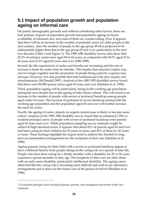### **5.1 Impact of population growth and population ageing on informal care**

On purely demographic grounds and without considering other factors, there are four primary impacts of population growth and population ageing on future availability of informal care, and some of them are countervailing. First, it appears that there will be an increase in the number of potential carers for older people in the next century, since the number of people in the age group 45-64 is projected to be substantially higher than that in the age group 65 and over, particularly in the next two decades (Table 3 and Figure 1). The 1998 ABS disability survey data show that 43.2% of primary carers were aged 45 to 64 years, as compared with 35.0% aged 15 to 44 years and 21.0% aged 65 years and over (ABS 1999).

Second, the life expectancies of males and females are increasing and the rate of increase is faster for males than for females. This implies that married couples may survive longer together and the proportion of people being cared by a spouse may increase. However, it is also possible that both husband and wife may require care simultaneously (McDonald 1997). Analysis of the ABS 1993 disability survey found that there were 82,900 spouse carers aged 65 years and over (Madden et al. 1996).

Third, population ageing will be particularly strong in the working age population during the next decade due to the ageing of baby-boom cohorts. This will result in an increase in the number of people with severe or profound handicap among people aged under 65 years. The increase of profound or severe handicap among both the working age population and the population aged 65 and over will further increase the need for carers.

Fourth, the ageing of carers, already an urgent current issue is likely to become more critical. Analysis of the 1993 ABS disability survey found that an estimated 7,700 coresident principal carers of people with severe or profound handicap were parents aged 65 years and over<sup>3</sup>. While population sampling survey estimates might be subject to high standard errors, it appears that about 65% of parents aged 65 and over had been caring for their children for 25 years or more, and 45% of them for 30 years or more. These findings highlight the urgent need to address the shortfall in longterm accommodation arrangements for the recipients of their care (Madden et al. 1996).

Ageing parents caring for their child with a severe or profound handicap appear to have a different history from people taking on the caring role as a spouse in later life. People who have been caring for a family member with a disability for 25 or 30 years experience special anxieties as they age. The recipients of their care are often those with an early onset disability, particularly intellectual disability. The ageing carers often find that the caring role is becoming more difficult and wish to see alternative arrangements put in place for the future care of the person involved (Madden et al. 1996).

 $\overline{a}$ 

<sup>3</sup> Co-resident principal carers included spouses, parents, sons/daughters and friends of the care recipients.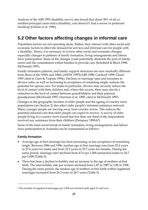Analysis of the ABS 1993 disability survey also found that about 38% of all coresident principal carers had a disability, and about 6% had a severe or profound handicap (Gibson et al. 1996).

## **5.2 Other factors affecting changes in informal care**

Population factors are not operating alone. Rather, they interact with other social and economic factors to affect the demand for services and informal care for people with a disability. Hence, it is necessary to review other social and economic changes, especially changes in patterns of family formation, living arrangements and labour force participation. Some of the changes could potentially diminish the pool of family carers and the commitment within families to provide care (Schofield & Bloch 1998; McDonald 1997).

Family formation patterns, and family support structures are now markedly different from those of the 1950s and 1960s (AIHW 1997b;ABS 1998; Caldwell 1999; Glezer 1993 cited in Clare & Tulpule 1994;). Declines in marriage rates and increases in divorce rates, as well as increasing in acceptance of remaining single, reduces the potential for spouse care. For males in particular, divorce may severely reduce the level of contact with their children and, where this occurs, there may also be a reduction in the level of contact between grandchildren and their paternal grandparents (McDonald 1997; Harrison et al. 1990, cited in McDonald 1997).

Changes in the geographic location of older people and the ageing of country town populations (see Section 2) also affect older people's informal assistance network. Many younger people are moving away from country towns. This reduces the potential informal care that older people can expect to receive. A survey of older people living in a country town found that less than one third of the respondents received any assistance from their children (Dempsey 1990:67).

Some of the main social trends in family formation, living arrangements and labour force participation in Australia can be summarised as follows:

### **Family formation**

 $\overline{a}$ 

- Average age at first marriage has been increasing, as has acceptance of remaining single. Between 1986 and 1996, median age at first marriage rose from 25.6 years to 27.6 years for males and from 23.5 years to 25.7 years for females. During the same period, marriage rate<sup>4</sup> declined from 47.6 per 1,000 unmarried males to 34.7 per 1,000 (Table 5).
- There has been a decline in fertility and an increase in the age of mothers at first birth. The total fertility rate per woman declined from 1.87 in 1987 to 1.80 in 1996. During the same period, the median age of mothers at first birth within registered marriages increased from 26.5 years to 28.7 years (Table 5).

<sup>4</sup> The number of registered marriages per 1,000 not married male aged 15 and over.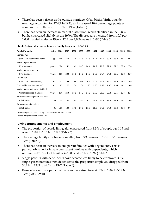- There has been a rise in births outside marriage. Of all births, births outside marriage accounted for 27.4% in 1996, an increase of 10.6 percentage points as compared with the rate of 16.8% in 1986 (Table 5).
- There has been an increase in marital dissolution, which stabilised in the 1980s but has increased slightly in the 1990s. The divorce rate increased from 10.7 per 1,000 married males in 1986 to 12.9 per 1,000 males in 1996 (Table 5).

| <b>Family Formation</b>              | Units | 1986 | 1987 | 1988 | 1989 | 1990 | 1991 | 1992 | 1993 | 1994 | 1995 | 1996 |
|--------------------------------------|-------|------|------|------|------|------|------|------|------|------|------|------|
| Marriage rate                        |       |      |      |      |      |      |      |      |      |      |      |      |
| (per 1,000 not married males)        | no.   | 47.6 | 45.8 | 45.5 | 44.6 | 43.5 | 41.7 | 41.1 | 39.8 | 38.2 | 36.7 | 34.7 |
| Median age of men at                 |       |      |      |      |      |      |      |      |      |      |      |      |
| First marriage                       | vears | 25.6 | 25.9 | 26.1 | 26.3 | 26.4 | 26.7 | 26.9 | 27.0 | 27.2 | 27.3 | 27.6 |
| Median age of women at               |       |      |      |      |      |      |      |      |      |      |      |      |
| First marriage                       | vears | 23.5 | 23.8 | 24.0 | 24.2 | 24.3 | 24.5 | 24.7 | 24.8 | 25.1 | 25.3 | 25.7 |
| Divorce rate                         |       |      |      |      |      |      |      |      |      |      |      |      |
| (per 1,000 married males)            | no.   | 10.7 | 10.6 | 10.8 | 10.8 | 10.9 | 11.6 | 11.5 | 12.1 | 12.0 | 12.3 | 12.9 |
| Total fertility rate (per woman)     | no.   | 1.87 | 1.85 | 1.84 | 1.84 | 1.90 | 1.85 | 1.89 | 1.87 | 1.85 | 1.82 | 1.80 |
| Median age of mothers at first birth |       |      |      |      |      |      |      |      |      |      |      |      |
| Within registered marriage           | vears | 26.5 | 26.8 | 27.1 | 27.3 | 27.6 | 27.8 | 28.0 | 28.3 | 28.5 | 28.6 | 28.7 |
| Births to mothers aged 35 and over   |       |      |      |      |      |      |      |      |      |      |      |      |
| (of all births)                      | %     | 7.9  | 8.5  | 9.0  | 9.6  | 10.0 | 10.7 | 11.4 | 11.9 | 12.9 | 13.7 | 14.6 |
| Births outside of marriage           |       |      |      |      |      |      |      |      |      |      |      |      |
| (of all births)                      | %     | 16.8 | 18.0 | 19.0 | 20.2 | 21.9 | 23.0 | 24.0 | 24.9 | 25.6 | 26.6 | 27.4 |

**Table 5: Australian social trends – family formation, 1986-1996** 

Reference periods: Data on family formation are for the calender year.

Source: Adapted from ABS 1998b: 26.

#### **Living arrangements and employment**

- The proportion of people living alone increased from 8.3% of people aged 15 and over in 1987 to 10.5% in 1997 (Table 6).
- The average family size became smaller, from 3.3 persons in 1987 to 3.1 persons in 1997 (Table 6).
- There has been an increase in one-parent families with dependents. This is particularly true for female one-parent families with dependents, which represented 7.0% of all families in 1988 and 9.1% in 1997 (Table 6).
- Single parents with dependents have become less likely to be employed. Of all single-parent families with dependents, the proportion employed dropped from 50.2% in 1989 to 46.5% in 1997 (Table 6).
- Female labour force participation rates have risen from 48.7% in 1987 to 53.9% in 1997 (ABS 1998b).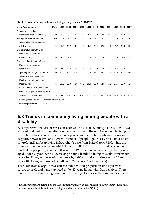| <b>Living Arrangements</b>             | <b>Units</b> | 1987 | 1988 | 1989 | 1990 | 1991 | 1992 | 1993 | 1994 | 1995 | 1996 | 1997 |
|----------------------------------------|--------------|------|------|------|------|------|------|------|------|------|------|------|
| Persons who live alone                 |              |      |      |      |      |      |      |      |      |      |      |      |
| (of persons aged 15 and over)          | $\%$         | 8.3  | 8.5  | 8.4  | 8.2  | 8.6  | 8.9  | 9.6  | 9.6  | 10.0 | 10.2 | 10.5 |
| Average family size (persons)          | no.          | 3.3  | 3.2  | 3.2  | 3.2  | 3.2  | 3.2  | 3.2  | 3.1  | 3.1  | 3.1  | 3.1  |
| Couple families with dependants        |              |      |      |      |      |      |      |      |      |      |      |      |
| (of all families)                      | $\%$         | 45.5 | 45.7 | 44.7 | 44.3 | 43.7 | 43.4 | 42.9 | 41.6 | 41.4 | 40.6 | 40.8 |
| One-parent families with a male        |              |      |      |      |      |      |      |      |      |      |      |      |
| Parent with dependants                 |              |      |      |      |      |      |      |      |      |      |      |      |
| (of all families)                      | %            | n.a. | 1.0  | 0.9  | 1.0  | 1.1  | 1.1  | 1.0  | 1.2  | 1.2  | 1.3  | 1.3  |
| One-parent families with a female      |              |      |      |      |      |      |      |      |      |      |      |      |
| Parent with dependants                 |              |      |      |      |      |      |      |      |      |      |      |      |
| (of all families)                      | %            | n.a. | 7.0  | 6.8  | 7.1  | 7.4  | 7.9  | 7.9  | 7.8  | 8.5  | 8.4  | 9.1  |
| Couple-only families (of all families) | %            | 30.4 | 30.7 | 31.5 | 31.2 | 31.3 | 31.1 | 32.1 | 33.3 | 33.6 | 34.1 | 33.6 |
| Couples with dependants, both          |              |      |      |      |      |      |      |      |      |      |      |      |
| Employed (of all couples with          |              |      |      |      |      |      |      |      |      |      |      |      |
| Dependants)                            | %            | 50.2 | 50.9 | 53.8 | 55.9 | 53.4 | 53.3 | 52.5 | 52.8 | 57.7 | 55.7 | 56.3 |
| One-parent families with dependants,   |              |      |      |      |      |      |      |      |      |      |      |      |
| Parent employed (of all one parent     |              |      |      |      |      |      |      |      |      |      |      |      |
| Families with dependants)              | %            | n.a. | n.a. | 50.2 | 49.0 | 47.0 | 45.7 | 45.3 | 45.9 | 46.9 | 46.8 | 46.5 |

#### **Table 6: Australian social trends – living arrangements, 1987-1997**

Reference periods: Data on living arrangements are at June.

Source: Adapted from ABS 1998b: 26.

 $\overline{a}$ 

### **5.3 Trends in community living among people with a disability**

A comparative analysis of three consecutive ABS disability surveys (1981, 1988, 1993) showed that de-institutionalisation (i.e. a reduction in the number of people living in institutions) has been occurring among people with a disability who need ongoing support. Between 1981 and 1993 the number of people aged 5–64 years with a severe or profound handicap living in households rose from 244,100 to 349,100, while the number living in establishments<sup>5</sup> fell from 27,000 to 19,200. The trend is even more marked for people aged under 30 years—in 1981 there were, on average, 15.9 people aged under 30 years with a severe or profound handicap living in establishments for every 100 living in households, whereas by 1993 this ratio had dropped to 3.1 for every 100 living in households (AIHW 1997; Wen & Madden 1998a).

There has been a large increase in the numbers and proportions of people with severe or profound handicap aged under 65 years living with their relatives. There has also been a small but growing number living alone, or with non-relatives, many

<sup>5</sup> Establishments are defined by the ABS disability survey as general hospitals, psychiatric hospitals, nursing homes, hostels, retirement villages and other 'homes' (ABS 1993).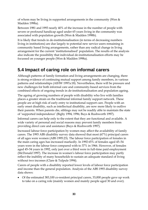of whom may be living in supported arrangements in the community (Wen  $\&$ Madden 1998a).

Between 1981 and 1993 nearly 40% of the increase in the number of people with severe or profound handicap aged under 65 years living in the community was associated with population growth (Wen & Madden 1998b).

It is likely that trends in de-institutionalisation (in terms of decreasing numbers living in institutions) are due largely to potential new service users remaining in community based living arrangements, rather than any radical change in living arrangement for the current 'institutionalised' population. The results of the analysis also indicate the possibility that individual de-institutionalisation efforts may be focussed on younger people (Wen & Madden 1998a).

# **5.4 Impact of caring role on informal carers**

Although patterns of family formation and living arrangements are changing, there is strong evidence of continuing mutual support among family members, in various patterns and relationships (AIHW 1997a:18). Nevertheless, there will be pressure and new challenges for both informal care and community-based services from the combined effects of ongoing trends in de-institutionalisation and population ageing.

The ageing of growing numbers of people with disability who live with families places a greater strain on the traditional informal family support network. These people are at high risk of early entry to institutional support care. People with an early onset disability, such as intellectual disability, are now more likely to outlive their parents. When parents die, siblings may not be readily able to maintain the state of 'supported independence' (Bigby 1994, 1996; Buys & Rushworth 1997).

Informal carers can help only to the extent that they are functional and available. A wide variety of personal and social reasons may prevent family members from providing direct care and assistance (Buys & Rushworth 1997).

Increased labour force participation by women may affect the availability of family carers. The 1993 ABS disability survey data showed that most (67%) principal carers of all ages were women (ABS 1995:23). The labour force participation of females in the main caring ages has increased markedly. In 1992 65% of females aged 45–54 years were in the labour force compared with to 37% in 1966. However, of females aged 45–54 years in 1992, only just over a third were in full-time paid employment (McDonald 1997). The increase in women's labour force participation may partly reflect the inability of many households to sustain an adequate standard of living without two incomes (Clare & Tulpule 1994).

Carers of people with a disability reported lower levels of labour force participation and income than the general population. Analysis of the ABS 1993 disability survey data shows:

• Of the estimated 383,100 co-resident principal carers, 33,000 people gave up work to take on a caring role (mainly women and mainly people aged 30 and over).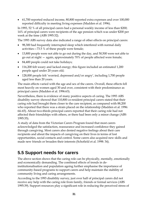• 61,700 reported reduced income, 80,800 reported extra expenses and over 100,000 reported difficulty in meeting living expenses (Madden et al. 1996).

In 1993, 52 % of all principal carers had a personal weekly income of less than \$200; 14% of principal carers were recipients of the age pension which was under \$200 per week at the time (ABS 1995:32).

The 1993 ABS survey data also indicated a range of other effects on principal carers:

- 98,300 had frequently interrupted sleep which interfered with normal daily activities—73.5 % of these people were female;
- 13,800 people were not able to go out during the day, and 50,500 were not able to go out at night — again, approximately 70% of people affected were female;
- 84,400 people could not take holidays;
- 116,200 felt weary and lacked energy; this figure included an estimated 1,200 people aged under 20 years old;
- 128,000 people felt 'worried, depressed and/or angry', including 1,700 people aged less than 20 years.

The main effects varied with the age and sex of the carers. Overall, these effects fell most heavily on women aged 30 and over, consistent with their predominance as principal carers (Madden et al. 1996:63).

Nevertheless, there is evidence of many positive aspects of caring. The 1993 ABS disability survey showed that 110,800 co-resident principal carers stated that their caring role had brought them closer to the care recipient, as compared with 88,200 who reported that there was a strain placed on the relationship (Madden et al. 1996: 64–65). About two-thirds principal carers reported that their caring role had not affected their friendships with others, or there had been only a minor change (ABS 1995:35).

A study of data from the Victorian Carers Program found that most carers acknowledged the satisfaction, reassurance and increased confidence they gained through caregiving. Most carers also denied negative feelings about their care recipients and about the impacts of caregiving on their lives in terms of lost opportunities, social contacts and control. Some carers also acquired new skills and made new friends or broaden their interests (Schofield et al. 1998: 34).

# **5.5 Support needs for carers**

The above section shows that the caring role can be physically, mentally, emotionally and economically demanding. The combined effects of trends in deinstitutionalisation and population ageing further emphasise the importance of community-based programs to support carers and help maintain the stability of community living and caring arrangements.

According to the 1993 disability survey, just over half of principal carers did not receive any help with the caring role from family, friends or formal services (ABS 1995:39). Support resources play a significant role in reducing the perceived stress of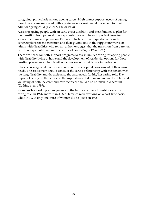caregiving, particularly among ageing carers. High unmet support needs of ageing parent carers are associated with a preference for residential placement for their adult or ageing child (Heller & Factor 1993).

Assisting ageing people with an early onset disability and their families to plan for the transition from parental to non-parental care will be an important issue for service planning and provision. Parents' reluctance to relinquish care or make concrete plans for the transition and their pivotal role in the support networks of adults with disabilities who remain at home suggest that the transition from parental care to non-parental care may be a time of crisis (Bigby 1994, 1996).

There are needs for both support programs to assist families caring for ageing people with disability living at home and the development of residential options for those needing placements when families can no longer provide care in the home.

It has been suggested that carers should receive a separate assessment of their own needs. The assessment should consider the carer's relationship with the person with life-long disability and the assistance the carer needs for his/her caring role. The impact of caring on the carer and the supports needed to maintain quality of life and wellbeing of both the carer and care recipient should also be taken into account (Gething et al. 1999).

More flexible working arrangements in the future are likely to assist carers in a caring role. In 1996, more than 43% of females were working on a part-time basis, while in 1970s only one-third of women did so (Jackson 1998).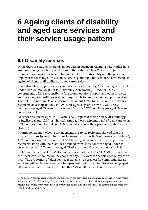# **6 Ageing clients of disability and aged care services and their service usage pattern**

# **6.1 Disability services**

 $\overline{a}$ 

While there are studies on trends in population ageing in Australia, few studies have analysed ageing trends in populations with disability. Stage 2 of this project will examine the changes in age structure of people with a disability and the potential impact of these changes on disability service planning. This section reviews trends in ageing of clients of disability and aged care services.

Many disability support services are provided or funded by Australian governments under the Commonwealth/State Disability Agreement (CSDA), with State governments taking responsibility for accommodation support and other services, and the Commonwealth government responsible for employment support services. The CSDA Minimum Data Set showed that about 14.9% (or 9,614) of CSDA service recipients on a snapshot day in 1997 were aged 50 years or over, 9.2% (or 5,940 people) were aged 55 years and over and 5.8% (or 3,762 people) were aged 60 years and over (Table  $7$ )<sup>6</sup>.

Of service recipients aged 45–64 years, 68.2% reported their primary disability type as intellectual and 12.0% as physical. Among those recipients aged 65 years and over, 37.3% reported intellectual and 29% reported vision as their primary disability type (Table 8).

Information about the living arrangements of service recipients showed that the proportion of recipients living alone increased with age: 8.1% of those aged under 45, 12.7% of those aged 45–64, and 20.1% of those aged 65 and over. The proportion of recipients living with their families declined from 45.8% for those aged under 45 years to less than 25% for those aged 45–64 years and 65 years or more (Table 9).

Preliminary analysis of the Victorian component of the 1998 CSDA MDS found that of all service attendances on the snapshot day, 13% were for people aged 60 years or over. The proportion of older service recipients was greatest for community access services, with 60% of recipients of Independent Living Training Services being aged 60 years and over. It should be noted that 69% of all recipients of this service

<sup>6</sup> The data on service recipients are counts of services provided, on one day, by providers who receive at least some CSDA funding. They are not counts of service recipients since a recipient may have received a service from more than one provider on the day and thus may be counted more than once (Black & Maples 1998: 8).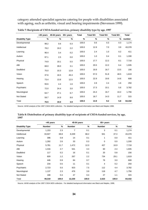category attended specialist agencies catering for people with disabilities associated with ageing, such as arthritis, visual and hearing impairments (Stevenson 1999).

|                        | <45 years | 45-64 years | 65+ years | <b>Total</b> | Total 50+ | Total 55+ | Total 60+ | <b>Total</b> |
|------------------------|-----------|-------------|-----------|--------------|-----------|-----------|-----------|--------------|
| <b>Disability Type</b> | %         | $\%$        | %         | %            | %         | %         | %         | number       |
| Developmental          | 98.2      | 0.6         | 0.3       | 100.0        | 0.6       | 0.3       | 0.3       | 1,174        |
| Intellectual           | 78.2      | 19.2        | 2.2       | 100.0        | 12.9      | 7.0       | 3.9       | 43,378       |
| Learning               | 96.4      | 3.4         | 0.2       | 100.0        | 2.4       | 1.0       | 0.2       | 411          |
| Autism                 | 97.1      | 2.5         | 0.0       | 100.0        | 1.0       | 0.4       | 0.1       | 1,330        |
| Physical               | 74.9      | 19.1        | $5.5\,$   | 100.0        | 17.7      | 12.2      | 8.1       | 7,718        |
| ABI                    | 68.0      | 28.0        | 3.1       | 100.0        | 20.5      | 12.2      | 6.4       | 1,935        |
| Deafblind              | 75.0      | 10.3        | 12.8      | 100.0        | 19.9      | 16.7      | 13.5      | 156          |
| Vision                 | 37.6      | 16.5        | 45.3      | 100.0        | 57.0      | 51.8      | 48.5      | 1,619        |
| Hearing                | 73.4      | 13.8        | 12.5      | 100.0        | 22.9      | 19.6      | 14.6      | 608          |
| Speech                 | 93.6      | 4.4         | 1.6       | 100.0        | 2.8       | 2.4       | 1.6       | 250          |
| Psychiatric            | 72.0      | 24.4        | 3.0       | 100.0        | 17.3      | 10.1      | 5.6       | 3,782        |
| Neurological           | 64.7      | 27.1        | 6.7       | 100.0        | 24.4      | 16.7      | 10.2      | 1,756        |
| Not Stated             | 59.7      | 14.9        | 8.6       | 100.0        | 18.7      | 14.3      | 11.7      | 315          |
| Total                  | 76.5      | 19.0        | 3.9       | 100.0        | 14.9      | 9.2       | 5.8       | 64,432       |

**Table 7: Recipients of CSDA-funded services, primary disability type by age, 1997** 

Source: AIHW analysis of the 1997 CSDA MDS collection. For detailed background information see Black and Maples 1998.

| Table 8: Distribution of primary disability type of recipients of CSDA-funded services, by age, |  |
|-------------------------------------------------------------------------------------------------|--|
| 1997                                                                                            |  |

|                        | <45 years     |       | 45-64 years    |       | 65+ years     |       |              |
|------------------------|---------------|-------|----------------|-------|---------------|-------|--------------|
| <b>Disability Type</b> | <b>Number</b> | %     | <b>Number</b>  | %     | <b>Number</b> | %     | <b>Total</b> |
| Developmental          | 1,153         | 2.3   | $\overline{7}$ | 0.1   | 3             | 0.1   | 1,174        |
| Intellectual           | 33,927        | 68.8  | 8,339          | 68.2  | 941           | 37.3  | 43,378       |
| Learning               | 396           | 0.8   | 14             | 0.1   | 1             | 0.0   | 411          |
| Autism                 | 1,292         | 2.6   | 33             | 0.3   | $\mathbf 0$   | 0.0   | 1,330        |
| Physical               | 5,781         | 11.7  | 1,472          | 12.0  | 427           | 16.9  | 7,718        |
| ABI                    | 1,316         | 2.7   | 541            | 4.4   | 60            | 2.4   | 1,935        |
| Deafblind              | 117           | 0.2   | 16             | 0.1   | 20            | 0.8   | 156          |
| Vision                 | 609           | 1.2   | 267            | 2.2   | 734           | 29.1  | 1,619        |
| Hearing                | 446           | 0.9   | 84             | 0.7   | 76            | 3.0   | 608          |
| Speech                 | 234           | 0.5   | 11             | 0.1   | 4             | 0.2   | 250          |
| Psychiatric            | 2,723         | 5.5   | 923            | 7.5   | 112           | 4.4   | 3,782        |
| Neurological           | 1,137         | 2.3   | 476            | 3.9   | 118           | 4.7   | 1,756        |
| Not Stated             | 188           | 0.4   | 47             | 0.4   | 27            | 1.1   | 315          |
| Total                  | 49,319        | 100.0 | 12,230         | 100.0 | 2,523         | 100.0 | 64,432       |

Source: AIHW analysis of the 1997 CSDA MDS collection. For detailed background information see Black and Maples, 1998.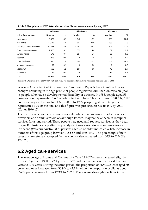|                            | <45 years     |       | 45-64 years   |               | $65+$ years   |       |  |
|----------------------------|---------------|-------|---------------|---------------|---------------|-------|--|
| <b>Living Arrangement</b>  | <b>Number</b> | $\%$  | <b>Number</b> | $\frac{9}{6}$ | <b>Number</b> | %     |  |
| Lives alone                | 3,978         | 8.1   | 1,549         | 12.7          | 508           | 20.1  |  |
| With family                | 22,585        | 45.8  | 2,692         | 22.0          | 588           | 23.3  |  |
| Disability community accom | 14,233        | 28.9  | 4,293         | 35.1          | 541           | 21.4  |  |
| Other community accom      | 1,526         | 3.1   | 559           | 4.6           | 69            | 2.7   |  |
| Nursing home               | 175           | 0.4   | 214           | 1.7           | 90            | 3.6   |  |
| Hospital                   | 218           | 0.4   | 79            | 0.6           | 5             | 0.2   |  |
| Other institution          | 5,880         | 11.9  | 2,699         | 22.1          | 664           | 26.3  |  |
| No usual residence         | 39            | 0.1   | 3             | 0.0           | 1             | 0.0   |  |
| Not known                  | 556           | 1.1   | 107           | 0.9           | 43            | 1.7   |  |
| Not stated                 | 129           | 0.3   | 35            | 0.3           | 14            | 0.6   |  |
| Total                      | 49,319        | 100.0 | 12,230        | 100.0         | 2523          | 100.0 |  |

**Table 9: Recipients of CSDA-funded services, living arrangements by age, 1997** 

Source: AIHW analysis of the 1987 CSDA MDS collection. For detailed background information see Black and Maples 1998.

Western Australia Disability Services Commission Reports have identified major changes occurring in the age profile of people registered with the Commission (that is, people who have a developmental disability or autism). In 1988, people aged 55 years or over represented 2.6% of total client numbers. This had risen to 5.0% by 1995 and was projected to rise to 7.4% by 2001. In 1988, people aged 35 to 45 years represented 30% of the total and this figure was projected to rise to 45% by 2001 (Gatter 1996:15).

There are people with early onset disability who are unknown to disability service providers and administrators or, although known, may not have been in receipt of services for a long period. These people may need and request services as they begin to age. For instance, a preliminary analysis of new case referrals and re-referrals to Irrabeena (Western Australia) of persons aged 45 or older indicated a 40% increase in numbers of this age group between 1985-87 and 1988-1990. The percentage of new cases and re-referrals accepted (active clients) also increased from 60% to 71% (Re 1991:29).

### **6.2 Aged care services**

The average age of Home and Community Care (HACC) clients increased slightly from 71.2 years in 1990 to 72.4 years in 1997 and the median age increased from 76.0 years to 77.0 years. During the same period, the proportion of HACC clients aged 80 years and over increased from 36.9% to 42.1%, while the proportion of clients aged 65–79 years decreased from 42.3% to 38.2%. There were also slight declines in the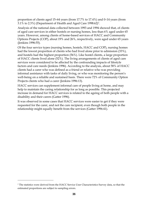proportion of clients aged 15–64 years (from 17.7% to 17.4%) and 0–14 years (from 3.1% to 2.3%) (Department of Health and Aged Care 1998:62)7.

Analysis of the national data collected between 1993 and 1994 showed that, of clients of aged care services in either hostels or nursing homes, less than 6% aged under 65 years. However, among clients of home-based services of HACC and Community Options Projects (COP), about 19% and 26%, respectively, were aged under 65 years (Jenkins 1996:55).

Of the four service types (nursing homes, hostels, HACC and COP), nursing homes had the lowest proportion of clients who had lived alone prior to admission (33%), and hostels had the highest proportion (56%). Like hostel clients, a large proportion of HACC clients lived alone (52%). The living arrangements of clients of aged care services were considered to be affected by the confounding impacts of lifestyle factors and care needs (Jenkins 1996). According to the analysis, about 58% of HACC clients had a carer who was defined as a friend or relative who was providing informal assistance with tasks of daily living, or who was monitoring the person's well-being on a reliable and sustained basis. There were 72% of Community Option Projects clients who had a carer (Jenkins 1996:13).

HACC services can supplement informal care of people living at home, and may help to maintain the caring relationship for as long as possible. This projected increase in demand for HACC services is related to the ageing of both people with a disability and their carers (Gatter 1996).

It was observed in some cases that HACC services were easier to get if they were requested for the carer, and not the care recipient, even though both people in the relationship might equally benefit from the services (Gatter 1996:41).

 $\overline{a}$ 

<sup>7</sup> The statistics were derived from the HACC Service User Characteristics Survey data, so that the estimated proportions are subject to sampling errors.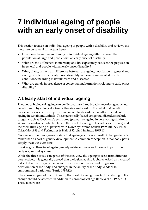# **7 Individual ageing of people with an early onset of disability**

This section focuses on individual ageing of people with a disability and reviews the literature on several important issues:

- How does the nature and timing of individual ageing differ between the population at large and people with an early onset of disability?
- What are the differences in mortality and life expectancy between the population in general and people with an early onset disability?
- What, if any, is the main difference between the ageing population in general and ageing people with an early onset disability in terms of age-related health conditions, including major illnesses and diseases?
- What are trends in prevalence of congenital malformations relating to early onset disability?

# **7.1 Early start of individual ageing**

Theories of biological ageing can be divided into three broad categories: genetic, nongenetic, and physiological. Genetic theories are based on the belief that genetic factors are associated with particular congenital disorders that affect the rate of ageing in certain individuals. These genetically based congenital disorders include progeria such as Cockayne's syndrome (premature ageing in very young children), Werner's syndrome (which refers to the onset of ageing in late adolescent years) and the premature ageing of persons with Down syndrome (Aiken 1989; Bullock 1992; Cristofalo 1988 and Perlmutter & Hall 1985, cited in Suttie 1995:11).

Non-genetic theories generally state that ageing occurs as a result of changes to cells rather than as part of genetic development. A common conception is that body parts simply wear out over time.

Physiological theories of ageing mainly relate to illness and disease in particular body organs and systems.

While the three broad categories of theories view the ageing process from different perspectives, it is generally agreed that biological ageing is characterised as increased risks of death with age, an increase in incidence of disease and progressive deterioration of the body, and changes in the ability of the body to adapt to environmental variations (Suttie 1995:12).

It has been suggested that to identify the onset of ageing three factors relating to life change should be assessed in addition to chronological age (Janicki et al. 1985:291). These factors are: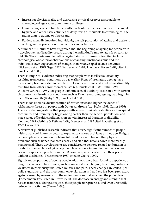- Increasing physical frailty and decreasing physical reserves attributable to chronological age rather than trauma or illness;
- Diminishing levels of functional skills, particularly in areas of self-care, personal hygiene and other basic activities of daily living attributable to chronological age rather than to trauma or illness; and
- For less mentally impaired individuals, the self-perception of ageing and desire to seek age-appropriate or normative roles and activities.

A number of US studies have suggested that the beginning of ageing for people with a developmental disability occurs during the individual's mid to late 40s or early to mid 50s. The criteria used to define 'ageing' status in these studies often include chronological age, clinical observations of changing functional status and the individuals' own expectations of changes in normative aged-related activities (Dickerson et al. 1979; Segal 1977; Seltzer et al. 1982; Thomae & Fryers 1982, cited in Janicki et al. 1985).

There is empirical evidence indicating that people with intellectual disability resulting from certain conditions do age earlier. Signs of premature ageing have consistently been reported in people with Down syndrome and intellectual disability resulting from other chromosomal causes (eg, Janicki et al. 1985; Suttie 1995; Williams & Chad 1998). For people with intellectual disability associated with certain chromosomal disorders or conditions such as Down syndrome, ageing may begin in their 30s, 40s or 50s (Bigby 1998; Janicki et al. 1985).

There is considerable documentation of earlier onset and higher incidence of Alzheimer's disease in people with Down syndrome (e.g. Bigby 1998; Gatter 1996). There are also suggestions that people with severe physical disabilities such as spinal cord injury and brain injury begin ageing earlier than the general population, and that a range of health conditions worsen with increased duration of disability (Fethney 1998; Gething & Fethney 1998; Menter et al. 1993 cited in Gething et al. 1999; Crewe 1990).

A review of published research indicates that a very significant number of people with spinal cord injury do begin to experience various problems as they age. Fatigue is the single most common problem, followed by a number of other physical problems such as bones that break easily and skin that breaks down more readily than normal. These developments are considered to be more related to duration of disability than to chronological age. People who were injured in their teens often begin to experience problems in their 30s and 40s, much earlier than their peers without disabilities (Trieschmann 1987, cited in Crewe 1990).

Significant proportions of ageing people with polio have been found to experience a range of changes in functioning, such as unaccustomed fatigue, breathing problems, weakness in previously unaffected muscles and pain. These changes are called 'postpolio syndrome' and the most common explanation is that there has been premature ageing caused by over-work in the motor neurones that survived the polio virus (Trieschmann 1987, cited in Crewe 1990). The decrease in energy and strength that results from these changes requires these people to reprioritise and even drastically reduce their activities (Crewe 1990).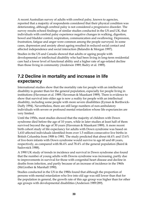A recent Australian survey of adults with cerebral palsy, known to agencies, reported that a majority of respondents considered that their physical condition was deteriorating, although cerebral palsy is not considered a progressive disorder. The survey results echoed findings of similar studies conducted in the US and UK, that individuals with cerebral palsy experience negative changes in walking, digestion, bowel and bladder control, respiration, communication and swallowing. Depression, frustration, fatigue and anger were common among the people surveyed. In some cases, depression and anxiety about ageing resulted in reduced social contact and affected independence and social interaction (Balandin & Morgan 1997).

Studies in the US and Canada showed that adults or ageing people with developmental or intellectual disability who had been living in long-term residential care had a lower level of functional ability and a higher rate of age-related decline than those living in community (Anderson 1989; Badry et al. 1989).

### **7.2 Decline in mortality and increase in life expectancy**

International studies show that the mortality rate for people with an intellectual disability is greater than for the general population, especially for people living in institutions (Haveman et al. 1989; Haveman & Maaskant 1989). There is evidence to show that survival into older age is now a reality for people with an intellectual disability, including some people with more severe disabilities (Eyman & Borthwick-Duffy 1994). Nevertheless, there are still large numbers of non-ambulatory individuals with severe or profound mental retardation whose life expectancies are very limited.

Until the 1950s, most studies showed that the majority of children with Down syndrome died before the age of 10 years, while in later studies at least half of them survived beyond the age of 30 years (Haveman & Maaskant 1989). A more recent birth cohort study of life expectancy for adults with Down syndrome was based on 1,610 affected individuals identified from over 1.5 million consecutive live births in British Columbia from 1908 to 1981. The study predicted that about 44.4% and 13.6% of live-born infants with Down syndrome would survive to age 60 and 68 years, respectively, as compared with 86.4% and 78.4% of the general population (Baird  $\&$ Sadovnick 1988).

A 1990 UK study of trends in incidence and survival in Down syndrome also found that the number of young adults with Downs syndrome was increasing, partly due to improvements in survival for those with congenital heart disease and decline in deaths from infection, and partly because of an increase of incidence in the 1960s (McGrother & Marshall 1990).

Studies conducted in the US in the 1980s found that although the proportion of persons with mental retardation who live into old age was still lower than that for the population in general, the growth rate of this age group was higher than for other age groups with developmental disabilities (Anderson 1989:289).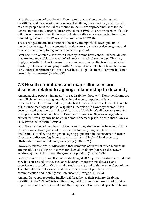With the exception of people with Down syndrome and certain other genetic conditions, and people with more severe disabilities, life expectancy and mortality rates for people with mental retardation in the US are approaching those for the general population (Carter & Jancar 1983; Janicki 1986). A large proportion of adults with developmental disabilities now in their middle years are expected to survive into old ages (Walz et al. 1986, cited in Anderson 1989:290).

These changes are due to a number of factors, among which developments in medical technology, improvements in health care and social service programs and trends in community living are particularly important.

Over one-third of infants born with Down syndrome have congenital heart defects that are now repairable as a result of advances in medical technology. This may imply a potential further increase in the number of ageing clients with intellectual disability. However, some people with Down syndrome who have benefited from early surgical treatment have not yet reached old age, so effects over time have not been fully documented (Suttie 1995).

## **7.3 Health conditions and major illnesses and diseases related to ageing: relationship to disability**

Among ageing people with an early onset disability, those with Down syndrome are more likely to have hearing and vision impairments, hypothyroidism, musculoskeletal problems and congenital heart disease. The prevalence of dementia of the Alzheimer type is particularly high in people with Down syndrome. It has been reported that nueropathological features of Alzheimer's disease are presented in all post-mortems of people with Down syndrome over 40 years of age, while clinical features may only be noted in a smaller percent prior to death (Barcikowska et al. 1989 cited in Suttie 1995:53).

With the exception of people with Down syndrome, studies so far have found little evidence indicating significant differences between ageing people with an intellectual disability and the general ageing population in the incidence of major illnesses and diseases (eg, heart disease, arthritis and higher blood pressure) attributable to individual biological ageing (Suttie 1995).

However, international studies found that dementia occurred at much higher rate among adult and older people with intellectual disability (not related to Down syndrome) than it did among the general population (Cooper 1997)

A study of adults with intellectual disability aged 20–50 years in Sydney showed that they have increased cardiovascular risk factors, more chronic diseases, and experience increased morbidity and mortality compared with the general population. They find it difficult to access health services because of problems with communication and mobility and low income (Beange et al. 1995).

Among the people reporting intellectual disability as their primary disabling condition in the 1993 ABS disability survey, 44% also reported associated physical impairments or disabilities and more than a quarter also reported speech problems.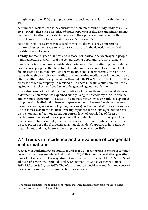A high proportion (22%) of people reported associated psychiatric disabilities (Wen 1997).

A number of factors need to be considered when interpreting study findings (Suttie 1995). Firstly, there is a possibility of under-reporting of diseases and illness among people with intellectual disability because of their poor communication skills or possible insensitivity to pain and illnesses (Anderson 1993).

Secondly, some assessment tools used in medical diagnosis have limitations. Improved assessment tools may lead to an increase in the detection of medical conditions and diseases.

Thirdly, for many types of illness and disease, comparisons between ageing people with intellectual disability and the general ageing population are not available.

Finally, studies have found considerable variations in factors affecting health status. For instance, people with intellectual disability may be exposed to additional risk factors such as non-mobility. Long-term institutional placement may affect health status through poor self-care. Additional complicating medical conditions could also affect health conditions (Eyman & Borthwick-Duffy1994; Suttie 1995). Hence, further study is needed to properly understand differences in health status between people ageing with intellectual disability and the general ageing population.

It has also been pointed out that the variations of the health and functional status of older population cannot be explained simply using the dichotomy of acute or lethal and chronic degenerative diseases. Nor can these variations necessarily be explained using the simple distinction between 'age-dependent' diseases (i.e. those diseases viewed as arising as a result of ageing processes) and 'age-related' diseases (diseases do not increase at an exponential or nearly exponential rate with age). Because this distinction may reflet more about our current level of knowledge of disease mechanisms than about disease processes. It is particularly difficult to apply this distinction to chronic and degenerative diseases. For instance, Alzheimer's disease, a disease process usually characterised as 'age dependent', appears to have genetic determinants and may be treatable and preventable (Manton 1990).

## **7.4 Trends in incidence and prevalence of congenital malformations**

A review of epidemiological studies found that Down syndrome is the most common genetic cause of severe intellectual disability (IQ <50). Chromosomal etiologies (the majority of which are Down syndrome) were estimated to account for 20% to 40%8 of all cases of severe intellectual disability (Alberman, 1978; McGrother & Marshall 1990; McLaren & Bryson 1987). Therefore, changes in incidence and the prevalence of these conditions have direct implications for services.

 $\overline{a}$ 

<sup>8</sup> The higher estimates tend to come from studies that included non-survivors from the relevant populations (McLaren & Bryson 1987).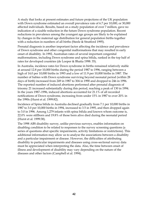A study that looks at present estimates and future projections of the UK population with Down syndrome estimated an overall prevalence rate of 6.7 per 10,000, or 30,000 affected individuals. Results, based on a study population of over 7 million, gave no indication of a sizable reduction in the future Down syndrome population. Recent reductions in prevalence among the youngest age groups are likely to be explained by changes in the maternal age distribution for general population births together with a reduction in numbers of all births (Steele & Stratford 1995).

Prenatal diagnosis is another important factor affecting the incidence and prevalence of Down syndrome and other congenital malformations that may resulted in early onset of disability. In 1992, Australian rates of several important congenital malformations, including Down syndrome and spina bifida, ranked in the top half of rates for developed countries (de Looper & Bhatia 1998: 35).

In Australia, incidence rates for Down syndrome in births remained relatively stable at around 12.8 per 10,000 births during the period 1987 to 1996, ranging between a high of 14.0 per 10,000 births in 1993 and a low of 11.9 per 10,000 births in 1987. The number of babies with Down syndrome surviving beyond neonatal period (within 28 days of birth) increased from 249 in 1987 to 304 in 1990 and dropped to 246 in 1996. The reported number of induced abortions performed after prenatal diagnosis of trisomy 21 increased substantially during this period, reaching a peak of 130 in 1994. In the years 1987–1996, induced abortions accounted for 21.1% of all recorded notifications of Down syndrome, increasing from under 15% in 1987 to over 20% in the 1990s (Hurst et al. 1999:82).

Incidence of Spina bifida in Australia declined gradually from 7.1 per 10,000 births in 1987 to 3.0 per 10,000 births in 1994, increased to 3.5 in 1995, and then dropped again to 3.0 in 1996. Among 1,279 infants with spina bifida and known whom outcome is, 22.0% were stillborn and 19.8% of those born alive died during the neonatal period (Hurst et al. 1999:38).

The 1998 ABS disability survey, unlike previous surveys, enables information on disabling condition to be related to responses to the survey screening questions (a series of questions abut specific impairments, activity limitations or restrictions). This additional information may allow us to analyse the associations between a disability and a particular impairment or disease. However, the difficulties of attributing disability to particular impairments and diseases using cross-sectional survey data must be appreciated when interpreting the data. Also, the time between onset of illness and development of disability may vary depending on the nature of the diseases and other factors (Campbell et al. 1994).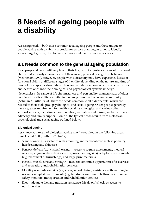# **8 Needs of ageing people with a disability**

Assessing needs—both those common to all ageing people and those unique to people ageing with disability is crucial for service planning in order to identify service target groups, develop new services and modify current services.

# **8.1 Needs common to the general ageing population**

Most people, at least until very late in their life, do not experience losses of functional ability that seriously change or affect their social, physical or cognitive behaviour (McPherson 1990). However, people with a disability may have experience losses of functional ability at different stages of their life, depending on the nature and time of onset of their specific disabilities. There are variations among older people in the rate and degree of change their biological and psychological systems undergo.

Nevertheless, the range of life circumstances and personality characteristics of older people with a disability is similar to the range found in the general community (Ashman & Suttie 1995). There are needs common to all older people, which are related to their biological, psychological and social ageing. Older people generally have a greater requirement for health, social, psychological and various other support services, including accommodation, recreation and leisure, mobility, finance, advocacy and family support. Some of the typical needs results from biological, psychological and social ageing outlined below.

#### **Biological ageing**

Assistance as a result of biological ageing may be required in the following areas (Janicki et al. 1985; Suttie 1995:16–17):

- Signs of ageing—assistance with grooming and personal care such as podiatry, hairdressing and skin care.
- Sensory deficits (e.g. vision, hearing)—access to regular assessments, medical services, augmentative devices (e.g. glasses, hearing aids), adapted environments (e.g. placement of furnishings) and large print materials.
- Fitness, muscle tone and strength—need for continued opportunities for exercise and recreation, and rehabilitation services.
- Mobility—ambulatory aids (e.g. sticks, wheel chairs), assistance with learning to use aids, adapted environments (e.g. handrails, ramps and bathroom grip rails), safety monitors, transportation and rehabilitation services.
- Diet—adequate diet and nutrition assistance, Meals-on-Wheels or access to nutrition sites.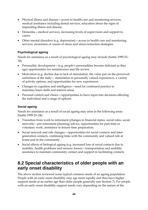- Physical illness and disease—access to health care and monitoring services, medical assistance including dental services, education about the signs of impending illness and disease.
- Dementia—medical services, increasing levels of supervision and support to carers.
- Other mental disorders (e.g. depression)—access to health care and monitoring services, awareness of causes of stress and stress-reduction strategies.

#### **Psychological ageing**

Needs for assistance as a result of psychological ageing may include (Suttie 1995:33– 34):

- Personality development (e.g. people's personalities become deficient as they age) opportunities for reminiscence and life review.
- Motivation (e.g. decline due to lack of stimulation, the value put on the perceived usefulness of the task)— stimulation in personally valued experiences, a variety of activity options, and opportunities for new experiences.
- Changes in cognition and intelligence—need for continued practice to maintain/learn skills and interest areas.
- Personal control and choice—opportunities to have input into decisions affecting the individual and a range of options.

#### **Social ageing**

Needs for assistance as a result of social ageing may arise in the following areas (Suttie 1995:23–24):

- Transition from work to retirement (changes in financial status, social roles, social network)—pre-retirement planning/advice, opportunities for part-time or voluntary work, assistance in leisure time preparation.
- Social network and role changes—opportunities for social contacts and intergeneration contacts, continuing links with the community and valued role at home and in the community.
- Social effects of biological ageing (e.g. increased loss of social contacts due to mobility, health problems and sensory losses)—transportation and mobility assistance to maintain community contact and support in facilitating contacts.

# **8.2 Special characteristics of older people with an early onset disability**

The above section reviewed some typical common needs of an ageing population. People with an early onset disability may age more rapidly and thus have higher support needs at an earlier age than older people generally (see Section 7). For people with an early onset disability support needs vary depending on the nature of the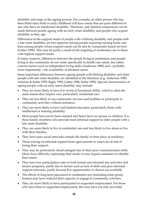disability and stage of the ageing process. For example, an older person who has been blind since birth or early childhood will have needs that are quite different to one who have an intellectual disability. Therefore, only limited comparisons can be made between people ageing with an early onset disability and people who acquire disability as they age.

Differences in the support needs of people with a lifelong disability and people with a late onset disability are less apparent among people requiring nursing home care than among people whose support needs can be met by community-based services (Gatter 1996). This may be partly a result of the targeting of residential care to those with highest support needs.

In many respects, differences between the people living in institutions and people living in the community do not relate specifically to health care needs, but rather concern factors such as independent living skills (Anderson 1989) and—probably more importantly—the availability of informal carers.

Some important differences between ageing people with lifelong disability and older people with late onset disability are identified in the literature (e.g. Anderson 1989; Ashman & Suttie 1995; Bigby 1992; Gatter 1996; Suttie 1995). Special characteristics of ageing people with an early onset disability may include:

- They are more likely to have low levels of functional ability, which is often the main reason they require care, particularly residential care.
- They are less likely to use community services and facilities or participate in community activities without assistance.
- They are more likely to have had limited education, particularly those with intellectual or learning disability.
- Most people have never been married and hence have no spouse or children. It is these family members who provide most informal support to older people with a late onset disability.
- They are more likely to live in residential care and less likely to live alone or live with their families.
- They have poor social networks outside the family or their place of residence.
- Those relying on informal support from aged parents or carers are at risk of losing their support.
- They may be particularly disadvantaged due to their poor communication skills. Many have difficulty expressing their needs or may require assistance to identify their needs.
- They have low participation rates in both formal and informal day activities and leisure programs, partly due to factors such as lack of skills and poor informal support networks, partly because few opportunities or choices are available.
- The effects of long-term placement in residential care (including some group homes) may have reduced their capacity to engage in community activities.
- They are more likely to have participated in supported employment. For those who have been in supported employment, this may have not only provided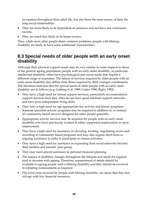occupation throughout their adult life, but also been the main source of their life long social relationships.

- They are more likely to be dependent on pensions and not have any retirement income.
- They are much less likely to be home owners.

Thus, while most older people share common problems, people with lifelong disability are likely to have some additional characteristics.

# **8.3 Special needs of older people with an early onset disability**

Although their physical support needs may be very similar in some respects to those of the general ageing population, people with an early onset disability, in particular intellectual disability, often have psychological and social needs that require a different range of responses. The nature of services required by older people with an early onset disability also differs from those required by their younger counterparts. The literature indicates that the special needs of older people with an early onset disability are as follows (e.g. Gething et al. 1999; Gatter 1996; Bigby 1992):

- They have a high need for formal support services, particularly accommodation support services since they often do not have good informal support networks and have poor independent living skills.
- They have a high need for age appropriate day activity and leisure programs. Separate specialist activity programs may be required in addition to, or instead of, community based services designed for older people generally.
- Appropriate activity services may be required for people with an early onset disability who have previously worked in either supported employment or open employment.
- They have a high need for assistance in choosing, locating, negotiating access and travelling to community based programs and may also require short term or ongoing assistance in order to participate in chosen activities.
- They have a high need for assistance in expanding their social networks beyond their families and parents' peer group.
- They may need special assistance in personal financial planning.
- The impact of disability changes throughout the lifespan and needs for support tend to increase with ageing. Therefore, reassessment of needs should be available to ageing people with a lifelong disability and they should be involved in initiating reassessments as required.
- The extra costs incurred by people with lifelong disability can mean that they face old age with few financial resources.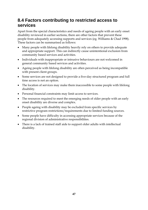# **8.4 Factors contributing to restricted access to services**

Apart from the special characteristics and needs of ageing people with an early onset disability reviewed in earlier sections, there are other factors that prevent these people from adequately accessing supports and services (eg. Williams & Chad 1998). These factors can be summarised as follows:

- Many people with lifelong disability heavily rely on others to provide adequate and appropriate support. This can indirectly cause unintentional exclusion from community based services and activities.
- Individuals with inappropriate or intrusive behaviours are not welcomed in general community based services and activities.
- Ageing people with lifelong disability are often perceived as being incompatible with present client groups.
- Some services are not designed to provide a five-day structured program and full time access is not an option.
- The location of services may make them inaccessible to some people with lifelong disability.
- Personal financial constraints may limit access to services.
- The resources required to meet the emerging needs of older people with an early onset disability are diverse and complex.
- People ageing with disability may be excluded from specific services by restrictive program restrictions/requirements due to limited funding sources.
- Some people have difficulty in accessing appropriate services because of the regional division of administrative responsibilities.
- There is a lack of trained staff aide to support older adults with intellectual disability.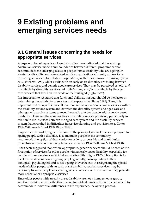# **9 Existing problems and emerging services needs**

### **9.1 General issues concerning the needs for appropriate services**

A large number of reports and special studies have indicated that the existing Australian service models and boundaries between different programs cannot accommodate the emerging needs of people with a disability who are ageing. In Australia, disability and age-related service organisations currently appear to be providing services to two distinct populations, with little crossover or linkage (Buys & Rushworth 1997). Older adults with an early onset disability are falling between disability services and generic aged care services. They may be perceived as 'old' and unsuitable by disability services but quite 'young' and/or unsuitable by the aged care services that focus on the needs of the frail aged (Bigby 1998).

It is important to recognise that functional abilities, not age, should be the factor in determining the suitability of services and supports (Williams 1999). Thus, it is important to develop effective collaboration and cooperation between services within the disability service system and between the disability system and aged care and other generic service systems to meet the needs of older people with an early onset disability. However, the complexities surrounding service provision, particularly in relation to the interface between the aged care system and the disability services system, have resulted in difficulties in service planning and provision (e.g. Gatter 1996; Williams & Chad 1998; Bigby 1999).

It appears to be widely agreed that one of the principal goals of a service program for ageing people with a disability is to maintain people in the community accommodation option of their choice for as long as possible and to minimise premature admission to nursing homes (e.g. Gatter 1996; Williams & Chad 1998).

It has been suggested that, where appropriate, generic services should be seen as the first option of services for older people with an early onset disability, especially for people with moderate or mild intellectual disability (Bigby 1992). This option is to meet the needs common to ageing people generally, corresponding to their biological, psychological and social ageing. Nevertheless, in recognising the special needs of older people with an early onset disability, specialist services may be necessary to assist people in accessing generic services or to ensure that they provide more sensitive or appropriate services.

Since older people with an early onset disability are not a homogeneous group, service provision must be flexible to meet individual needs and circumstances and to accommodate individual differences in life experience, the ageing process,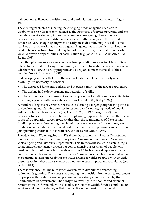independent skill levels, health status and particular interests and choices (Bigby 1992).

The existing problems of meeting the emerging needs of ageing clients with disability are, to a large extent, related to the structures of service programs and the models of service delivery in use. For example, some ageing clients may not necessarily need new or additional services, but rather changes in the method of service delivery. People ageing with an early onset disability may need the same services but at an earlier age then the general ageing population. Day services may need to be restructured from full day to part day activities, or to find more flexible ways to provide opportunities for socialisation (e.g. Janicki et al. 1985; Gatter 1996; Ruggi 1998).

Even though some service agencies have been providing services to older adults with intellectual disabilities living in community, further information is needed to assess whether these services are appropriate and adequate to meet the needs of those people (Buys & Rushworth 1997).

In developing services that meet the needs of older people with an early onset disability it is necessary to consider:

- The decreased functional abilities and increased frailty of the target population.
- The decline in the development and retention of skills.
- The reduced appropriateness of some components of existing services suitable for younger people with disabilities (e.g. Janicki et al. 1985; Bigby 1992;).

A number of reports have raised the issue of defining a target group for the purpose of developing and planning services in response to the emerging needs of people with a disability who are ageing (e.g. Gatter 1996; Re 1991; Ruggi 1998). It is necessary to develop an integrated service planning approach focusing on the needs of specific population target groups rather than the requirements of the existing funding programs. Broadening the planning process beyond a focus on program funding would enable greater collaboration across different programs and encourage joint planning efforts (NSW Health Services Research Group 1997).

The New South Wales Ageing and Disability Department and Health Department have jointly developed the Community Care Assessment Framework (New South Wales Ageing and Disability Department). This framework assists in establishing a collaborative inter-agency process for comprehensive assessment of people who need complex, multiple or high levels of support. The framework applies a clientbased approach taking in to account a person's overall needs. This new initiative has the potential to assist in resolving the issues arising for older people a with an early onset disability whose needs cannot be met due to current program boundaries (see Section 10.1).

There is evidence that the number of workers with disabilities approaching retirement is growing. The issues surrounding the transition from work to retirement for people with disability are being examined in a study commissioned by the Commonwealth government. The study is to investigate the nature and extent of retirement issues for people with disability in Commonwealth-funded employment services and identify strategies that may facilitate the transition from work to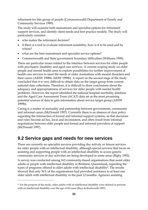retirement for this group of people (Commonwealth Department of Family and Community Services 1999).

The study will examine both mainstream and specialist options for retirement support services, and identify client needs and best practice models. The study will particularly consider:

who makes the retirement decision?

 $\overline{a}$ 

- if there is a tool to evaluate retirement suitability, how is it to be used and by whom?
- what are the best mainstream and specialist service options?
- Commonwealth and State government boundary difficulties (Williams 1999).

There are particular issues related to the interface between services for older people with psychiatric disability and aged care services. A current scoping study on older people and mental health aims to explore possibilities for further improvement of health care services to meet the needs of older Australians with mental disorders and their carers (AIHW 1998b; AIHW 1999b). A report on the second stage of the study concluded that it is very difficult to obtain data on the target group from current national data collections. Therefore, it is difficult to draw conclusions about the adequacy and appropriateness of services for older people with mental health problems. However, the report identified the national hospital morbidity database and the Aged Care Assessment Team (ACAT) data set as the most promising potential sources of data to gain information about service target group (AIHW 1999b).

Caring is a matter of mutuality and partnership between governments, community and informal carers (McDonald 1997). Currently there is an absence of clear policy regarding the intersection of formal and informal support systems, so that decisions and rules become ad hoc, local and inconsistent, and often result from informal negotiations between older people and formal and informal providers of support (McDonald 1997).

### **9.2 Service gaps and needs for new services**

There are currently no specialist services providing day activity or leisure services for older people with an intellectual disability, although special services that focus on assisting and supporting people with an intellectual disability to access generic community services or day activities are being developed in some areas (Bigby 1992).

A survey was conducted among 162 community-based organisations that assist older adults or people with intellectual disability in Brisbane, Queensland, regarding the types of programs offered to older adults with intellectual disability<sup>9</sup>. The results showed that only 36% of the organisations had provided assistance to at least one older adult with intellectual disability in the past 12 months. Agencies assisting

<sup>9</sup> For the purpose of the study, older adults with an intellectual disability were defined as persons with an intellectual disability over the age of 60 years (Buys & Rushworth 1997).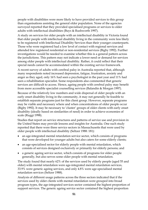people with disabilities were more likely to have provided services to this group than organisations assisting the general older population. None of the agencies surveyed reported that they provided specialised programs or services to older adults with intellectual disabilities (Buys & Rushworth 1997).

A study on services for older people with an intellectual disability in Victoria found that older people with intellectual disability living in the community were less likely to be registered with Intellectual Disability Services than their younger counterparts. Those who were registered had a low level of contact with regional services and attended few registered residential or non-residential services (Bigby 1992). Further investigations would be needed to examine whether this is a general pattern across the jurisdictions. This pattern may not indicate a lower need or demand for services among older people with intellectual disability. Rather, it could reflect that their special needs cannot be accommodated within the existing service framework.

A recent survey of adults with cerebral palsy in Australia reported that, although many respondents noted increased depression, fatigue, frustration, anxiety and anger as they aged, only 16% had seen a psychologist in the past year and 11% had seen a rehabilitation specialist. Some respondents also commented that generic services are difficult to access. Hence, ageing people with cerebral palsy may benefit from more accessible specialist counselling services (Balandin & Morgan 1997).

Because of the relatively low numbers and wide dispersal of older people with an early onset disability living in the community, it may not generally be feasible to establish separate programs just for this client group. However, separate programs may be viable and necessary where and when concentrations of older people occur (Bigby 1992). It may be necessary to 'cluster' groups of older clients with early onset disability (ideally based on similarities of need) in order to achieve economies of scale (Ruggi 1998).

Studies that report on service structures and patterns of service use and provision in the United States may provide lessons and insights for Australia. One such study reported that there were three service sectors in Massachusetts that were used by older people with intellectual disability (Seltzer 1988: 181):

- an age-integrated mental retardation service sector, which consists of programs that were developed for younger adults but also caters for some elderly clients;
- an age-specialised sector for elderly people with mental retardation, which consists of services designed exclusively or primarily for elderly persons; and
- a generic ageing service sector, which consists of programs for older people generally, but also serves some older people with mental retardation.

The study found that nearly 62% of the services used by elderly people (aged 55 and older) with mental retardation were age-integrated mental retardation services, 33.9% were generic ageing services, and only 4.8% were age-specialised mental retardation services (Seltzer 1988).

Analysis of different usage patterns across the three sectors indicated that if the services used by older clients with mental retardation were grouped into broad program types, the age-integrated services sector contained the highest proportion of support services. The generic ageing service sector contained the highest proportion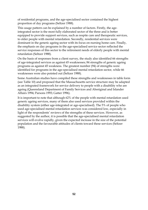of residential programs, and the age-specialised sector contained the highest proportion of day programs (Seltzer 1988).

This usage pattern can be explained by a number of factors. Firstly, the ageintegrated sector is the most fully elaborated sector of the three and is better equipped to provide support services, such as respite care and therapeutic services, to older people with mental retardation. Secondly, residential services were dominant in the generic ageing sector with its focus on nursing home care. Finally, the emphasis on day programs in the age-specialised service sector reflected the service responses of this sector to the retirement needs of elderly people with mental retardation (Seltzer 1988).

On the basis of responses from a client survey, the study also identified 66 strengths of age-integrated services as against 65 weaknesses; 84 strengths of generic ageing programs as against 45 weakness. The greatest number (94) of strengths were identified for programs in the age-specialised mental retardation sector, while 66 weaknesses were also pointed out (Seltzer 1988).

Some Australian studies have compiled these strengths and weaknesses in table form (see Table 10) and proposed that the Massachusetts service structure may be adapted as an integrated framework for service delivery to people with a disability who are ageing (Queensland Department of Family Services and Aboriginal and Islander Affairs 1994; Parsons 1993; Gatter 1996).

It is important to note that although 62% of the people with mental retardation used generic ageing services, many of them also used services provided within the disability system (either age-integrated or age-specialised). The 5% of people who used age-specialised mental retardation services was considered low, especially in light of the respondents' reviews of the strengths of these services. However, as suggested by the author, it is possible that the age-specialised mental retardation services will evolve rapidly, given the expected increase in the size of the potential population and the favourable attitudes of clients toward these services (Seltzer 1988).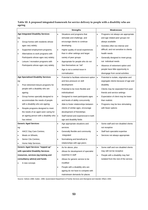| Table 10: A proposed integrated framework for service delivery to people with a disability who are |  |
|----------------------------------------------------------------------------------------------------|--|
| ageing                                                                                             |  |

|                                      |                                            | <b>Strengths</b>       |                                           |           | Weaknesses                              |  |  |
|--------------------------------------|--------------------------------------------|------------------------|-------------------------------------------|-----------|-----------------------------------------|--|--|
|                                      | <b>Age Integrated Disability Services</b>  | $\bullet$              | Situations and programs that              | $\bullet$ | Programs not always are appropriate     |  |  |
| eg:                                  |                                            |                        | stimulate and challenge, and              |           | and age related peer groups not         |  |  |
| $\bullet$                            | Group homes with residents whose           |                        | encourage clients to continue             |           | always available                        |  |  |
| ages vary widely;                    |                                            |                        | developing                                | $\bullet$ | Activities often too intense and        |  |  |
| $\bullet$                            | Supported employment programs;             | $\bullet$              | Higher quality of social experiences      |           | difficult, and not sensitive to clients |  |  |
| ٠                                    | Alternatives to work programs with         |                        | than in other settings and larger         |           | health needs                            |  |  |
|                                      | Participants whose ages vary widely;       | variety of peer groups |                                           | $\bullet$ | Generally designed to meet group,       |  |  |
| $\bullet$                            | Leisure / recreation programs with         | $\bullet$              | Appropriate for people who do not         |           | not individual needs                    |  |  |
|                                      | Participants whose ages vary widely.       |                        | See themselves as "old"                   | $\bullet$ | Absence of retirement option and        |  |  |
|                                      |                                            | $\bullet$              | Age is not a central issue in             |           | people have little opportunity to       |  |  |
|                                      |                                            |                        | normalisation                             |           | disengage from social activities        |  |  |
|                                      | <b>Age Specialised Disability Services</b> | $\bullet$              | Potential to facilitate retirement option | $\bullet$ | Potential to isolate, stigmatise and    |  |  |
| eg:                                  |                                            |                        | and less pressure on skill                |           | segregate clients because of age and    |  |  |
| $\bullet$                            | Post retirement leisure programs for       |                        | development                               |           | disability                              |  |  |
|                                      | people with a disability who are           | $\bullet$              | Potential to be more flexible and         | $\bullet$ | Clients may be separated from past      |  |  |
|                                      | ageing;                                    |                        | individualised                            |           | friends and service settings            |  |  |
| $\bullet$                            | Group homes specially designed to          | $\bullet$              | Designed to meet participants ages        | $\bullet$ | Expectation of client may be lower      |  |  |
|                                      | accommodate the needs of people            |                        | and levels of ability concurrently        |           | than realistic                          |  |  |
|                                      | with a disability who are ageing;          | $\bullet$              | Able to foster relationships between      | $\bullet$ | Programs may be less stimulating        |  |  |
| ٠                                    | Respite programs designed to meet          |                        | clients of similar ages, encourage        |           | with fewer options                      |  |  |
|                                      | the needs of an aged carer caring for      |                        | development of friendships                |           |                                         |  |  |
|                                      | an ageing person with a disability who     | $\bullet$              | Staff trained and experienced in both     |           |                                         |  |  |
|                                      | has retired.                               |                        | age and disability fields                 |           |                                         |  |  |
|                                      | <b>Generic Aged Services</b>               | $\bullet$              | Age appropriate situations and            | $\bullet$ | Some staff and non disabled clients     |  |  |
| eg:                                  |                                            |                        | services                                  |           | not receptive                           |  |  |
| ٠                                    | <b>HACC Day Care Centres;</b>              | $\bullet$              | Generally flexible and community          | ٠         | Staff lack specialist expertise         |  |  |
| $\bullet$                            | Meals on Wheels;                           |                        | integrated                                | ٠         | Services not always appropriate         |  |  |
|                                      | Senior Cits Centres;                       |                        | Normalising and beneficial to             |           |                                         |  |  |
| $\bullet$                            | Home Help Services.                        |                        | relationships with age peers              |           |                                         |  |  |
|                                      | Generic Aged Services "topped up"          | $\bullet$              | As for above, plus                        | $\bullet$ | Some staff and non disabled clients     |  |  |
|                                      | with specialist Disability Services        | $\bullet$              | Allows for development of specialist      |           | may still not be receptive              |  |  |
| resources, services (eg training and |                                            |                        | expertise in staff                        |           | People with a disability may feel       |  |  |
| consultancy advice) and funds        |                                            | $\bullet$              | Allows for generic service to be          |           | isolated from the rest of the service.  |  |  |
| A new concept.                       |                                            |                        | modified                                  |           |                                         |  |  |
|                                      |                                            | $\bullet$              | People with a disability who are          |           |                                         |  |  |
|                                      |                                            |                        | ageing do not have to compete with        |           |                                         |  |  |
|                                      |                                            |                        | mainstream demands for places             |           |                                         |  |  |

Source: Seltzer,1988; Gatter, 1996; Queensland Department of Family Services and Aboriginal and Islander Affairs 1994.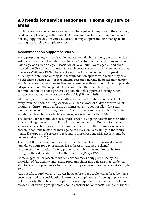## **9.3 Needs for service responses in some key service areas**

Modification in some key service areas may be required in response to the emerging needs of people ageing with disability. Service areas include accommodation and housing supports, day activities, advocacy, family support and case management relating to accessing multiple services.

#### **Accommodation support services**

Many people ageing with a disability want to remain living home, but the question is will the support there to enable them to do so? A study of the needs of members in Paraplegic and Quadriplegic Association of New South Wales aged 50 and over showed that 60% of them reported that their support needs had changed over the last five years (Williams 1999). The report also found that respondents had great difficulty in identifying appropriate accommodation options with which they have no experience. Hence, 24% of respondents preferred nursing home accommodation simply because that was the one they were familiar with and thought would provide adequate support. The respondents also indicated that share housing accommodation was not a preferred option, though supported housing, where privacy was maintained was seen as desirable (Williams 1999).

At present, group home residents with an early onset disability are expected to be away from their home during week days, either at work or at day or recreational programs. Current funding for group homes usually does not allow for a staff member to be on duty during the day. This will create an increasingly untenable situation in those homes which have an ageing resident (Gatter 1996).

The demand for accommodation support services by ageing parents for their adult sons and daughters with disabilities is expected to increase. Demand for respite services can also be expected to increase, especially from those families who have chosen to continue to care for their ageing relatives with a disability in the family home. The capacity of services to respond to more frequent crisis needs should be enhanced (Gatter 1996).

The use of flexible program times, part-time placements and 'phasing down' of attendance hours for day programs has a direct impact on the clients' accommodation situation. Elderly parents or family carers require respite from caring for their dependant adult with a disability (Ruggi 1998).

It was suggested that accommodation services may be supplemented by the provision of day activity and leisure programs either through assisting residential staff to develop a program or facilitating direct provision by specialist services (Bigby 1992).

Age-specific group homes (or cluster homes) for older people with a disability have been suggested for consideration in future service planning. If 'ageing in place' is a policy priority, then choice of people for new group homes and assessment of new residents for existing group homes should consider not only social compatibility but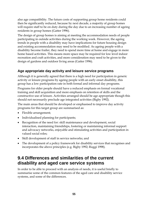also age compatibility. The future costs of supporting group home residents could then be significantly reduced, because by next decade, a majority of group homes will require staff to be on duty during the day due to an increasing number of ageing residents in group homes (Gatter 1996).

The design of group homes is aiming at meeting the accommodation needs of people participating in outside activities during the working week. However, the ageing trends in people with a disability may have implications for future housing design and existing accommodation may need to be modified. As ageing people with a disability become frailer, they need to spend more time at home and engage in more home based activities. This means more space may be required for low level indoor recreation and craft activities, and more consideration may need to be given to the design of gardens and outdoor living areas (Gatter 1996).

### **Age appropriate day activity and leisure service programs**

Although it is generally agreed that there is a high need for participation in generic activity or leisure programs by ageing people with an early onset disability, this group has a low participation rate in both formal and informal day programs.

Programs for older people should have a reduced emphasis on formal vocational training and skill acquisition and more emphasis on retention of skills and the constructive use of leisure. Activities arranged should be age appropriate though this should not necessarily preclude age integrated activities (Bigby 1992).

The main areas that should be developed or emphasised to improve day activity programs for this target group are summarised as:

- Flexible arrangement;
- Individualised planning for participants;
- Recognition of the need for: skill maintenance and development, social interaction, maintaining friendships, fostering or maintaining informal support and advocacy networks, enjoyable and stimulating activities and participation in valued social roles;
- Skill development of staff in service networks; and
- The development of a policy framework for disability services that recognises and incorporates the above principles (e.g. Bigby 1992; Ruggi 1998).

# **9.4 Differences and similarities of the current disability and aged care service systems**

In order to be able to proceed with an analysis of needs, it is useful briefly to summarise some of the common features of the aged care and disability service systems, and some of the differences.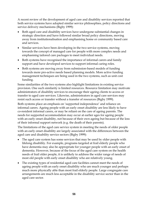A recent review of the development of aged care and disability services reported that both service systems have adopted similar service philosophies, policy directions and service delivery mechanisms (Bigby 1999):

- Both aged care and disability services have undergone substantial changes in strategic direction and have followed similar broad policy directions, moving away from institutionalisation and emphasising home or community based care and services.
- Similar services have been developing in the two service systems, moving towards the concept of managed care for people with more complex needs and emphasising tailored care packages to meet individual needs.
- Both systems have recognised the importance of informal carers and family support and have developed services to support informal caring roles.
- Both systems are moving away from submission-based models of funding towards more pro-active needs based planning models. More active funding management techniques are being used in the two systems, such as unit cost funding.

Some similarities of the two systems also highlight limitations in existing service provision. One such similarity is limited resources. Resource limitation may motivate administrators of disability services to encourage their ageing clients to access or transfer to aged care services. Likewise, administrators in aged care services may resist such access or transfer without a transfer of resources (Bigby 1999).

Both systems place an emphasis on 'supported independence' and reliance on informal carers. Ageing people with an early onset disability are less likely to have co-resident informal carers, or may be reliant on the care of ageing parents. The needs for supported accommodation may occur at earlier ages for ageing people with an early onset disability, not because of their own ageing but because of the loss of their informal support network (e.g. the death of their parents).

The limitations of the aged care service system in meeting the needs of older people with an early onset disability are largely associated with the differences between the aged care and disability service sectors (Bigby 1999):

- The aged care system has some services that may be used by older people with lifelong disability. For example, programs targeted at frail elderly people who have dementia may also be appropriate for younger people with an early onset of dementia. However, because of the focus of the aged care system on the health needs of frail older people, it is unlikely to address the wider range of needs of most old people with early onset disability who are relatively young.
- The existing types of residential aged care facilities cannot meet the needs of ageing people with an early onset disability who are much younger and perhaps much more physically able than most frail elderly people. Large congregate care arrangements are much less acceptable in the disability service sector than in the aged care sector.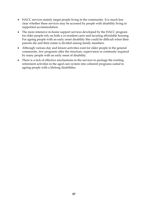- HACC services mainly target people living in the community. It is much less clear whether these services may be accessed by people with disability living in supported accommodation.
- The more intensive in-home support services developed by the HACC program for older people rely on both a co-resident carer and securing affordable housing. For ageing people with an early onset disability this could be difficult when their parents die and their estate is divided among family members.
- Although various day and leisure activities exist for older people in the general community, few programs offer the structure, supervision or continuity required by many people with an early onset of disability.
- There is a lack of effective mechanisms in the services to package the existing retirement activities in the aged care system into coherent programs suited to ageing people with a lifelong disabilities.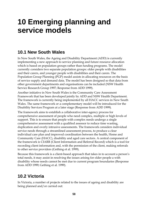# **10 Emerging planning and service models**

# **10.1 New South Wales**

In New South Wales, the Ageing and Disability Department (ADD) is currently implementing a new approach to service planning and future resource allocation which is based on population groups rather than funding programs. The model currently considers two separate population groups: older people with disabilities and their carers, and younger people with disabilities and their carers. The Population Group Planning (PGP) model assists in allocating resources on the basis of service supply and demand data. The model has been designed so that data from other government departments and organisations can be included (NSW Health Service Research Group 1997; Response from ADD 1999).

Another initiative in New South Wales is the Community Care Assessment Framework that has been developed jointly by ADD and NSW Health Department. The framework is currently being implemented by all HACC services in New South Wales. The same framework or a complementary model will be introduced for the Disability Services Program at a later stage (Response from ADD 1999).

The framework aims to establish a collaborative inter-agency process for comprehensive assessment of people who need complex, multiple or high levels of support. This is to ensure that people with complex needs undergo a single comprehensive assessment with a qualified assessor to reduce time wasting, duplication and overly intrusive assessments. The framework considers individual service needs through a streamlined assessment process, to produce a clear individual care plan and improved coordination between the health, Home and Community Care (HACC), disability and aged care sectors. A central component of the framework is CIARR (Client Information and Referral Record) which is a tool for recording client information and, with the permission of the client, making referrals to other service providers (Gething et al. 1999).

Because this framework is a client-based approach that takes in to account a person's total needs, it may assist in resolving the issues arising for older people a with disability whose needs cannot be met due to current program boundaries (Response from ADD 1999; Gething et al. 1999).

# **10.2 Victoria**

In Victoria, a number of projects related to the issues of ageing and disability are being planned and/or carried out: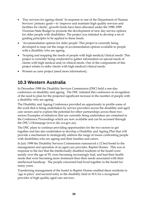- 'Day services for ageing clients' In response to one of the Department of Human Services' primary goals—to 'improve and maintain high quality services and facilities for clients', growth funds have been allocated under the 1998–1999 Victorian State Budget to promote the development of new day service options for older people with disabilities. The project was initiated to develop a set of guiding principles to be applied to these funds.
- 'Accommodation options for older people' This project is currently being developed to map out the range of accommodation options available to people with a disability who are ageing.
- 'Scoping and mapping the needs of people with high medical/clinical needs' This project is currently being conducted to gather information on special needs of clients with high medical and/or clinical needs. One of the components of this project relates to older clients with high medical/clinical needs.
- Women as carer project (need more information).

# **10.3 Western Australia**

In December 1998 the Disability Services Commission (DSC) held a one-day conference on disability and ageing. The DSC initiated this conference in recognition of the need to plan for the projected significant increase in the number of people with a disability who are ageing.

The Disability and Ageing Conference provided an opportunity to profile some of the work that is being undertaken by service providers across the disability and aged care sectors and to explore the potential for other partnerships across these two sectors Examples of initiatives that are currently being undertaken are contained in the Conference Proceedings which are now available and can be accessed through the DSC's Homepage (www.dsc.wa.gov.au).

The DSC plans to continue providing opportunities for the two sectors to get together and has also undertaken to develop a Disability and Ageing Plan that will provide a mechanism to strategically address the range of issues confronting people with disabilities who are ageing and their families and carers.

In July 1998 the Disability Services Commission outsourced a 12 bed hostel to the management and operation of an aged care provider, Baptist Homes. This was in response to the fact that the intellectually disabled residents of the hostel were mostly over the age of 55, were becoming increasingly frail, and had their health needs that were becoming more dominant than their needs associated with their intellectual handicap. The people concerned had lived together in the hostel for many years.

Transferring management of the hostel to Baptist Homes enabled these residents to 'age in place' and secured entry to the disability field in WA for a recognised provider of high quality aged care services.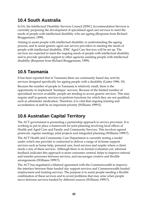# **10.4 South Australia**

In SA, the Intellectual Disability Services Council (IDSC) Accommodation Services is currently proposing the development of specialised aged care services to meet the needs of people with intellectual disability who are ageing (Response from Richard Bruggemann, 1999).

Aiming to assist people with intellectual disability in understanding the ageing process, and to assist generic aged care service providers in meeting the needs of people with intellectual disability, IDSC Aged Care Services will be set up. The services are expected to meet the ongoing needs of people with intellectual disability and to provide specialist support to other agencies assisting people with intellectual disability (Response from Richard Bruggemann, 1999).

# **10.5 Tasmania**

It has been reported that in Tasmania there are community based day activity services designed specifically for ageing people with a disability (Gatter 1996: 19).

Because the number of people in Tasmania is relatively small, there is the opportunity to implement 'boutique' services. Because of the limited number of specialised services available, people are tending to access generic services. This may require staff in generic services to perform functions for which they are not qualified, such as administer medication. Therefore, it is vital that ongoing training and accreditation of staff be an important priority (Williams 1999:5).

# **10.6 Australian Capital Territory**

The ACT government is promoting a partnership approach to service provision. It is working to put in place a framework for joint planning involving local offices of Health and Aged Care and Family and Community Services. This involves agreed protocols, regular meetings, joint projects and integrated planning (Williams 1999:7).

The ACT Health and Community Care Department is currently testing a model under which one provider is contracted to deliver a range of in-home support services such as home help, personal care, food services and respite where a client needs a mix of these services. Although there is no formal evaluation yet, informal feedback indicates this approach is more consumer centred, helps to improve referral and transfer processes between services, and encourages creative and flexible arrangements (Williams 1999:7).

The ACT has negotiated a bilateral agreement with the Commonwealth to improve the interface between State funded day support services and Commonwealth funded employment and training services. The purpose is to assist people needing a flexible combination of these services and to avoid problems that may arise when people move between services funded by different sources (Williams 1999:7).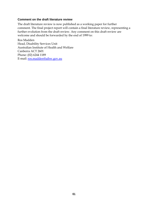#### **Comment on the draft literature review**

The draft literature review is now published as a working paper for further comment. The final project report will contain a final literature review, representing a further evolution from the draft review. Any comment on this draft review are welcome and should be forwarded by the end of 1999 to:

Ros Madden Head, Disability Services Unit Australian Institute of Health and Welfare Canberra ACT 2601 Phone: (02) 6244 1189 E-mail: ros.madden@aihw.gov.au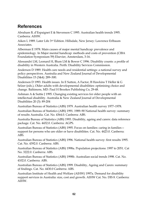# **References**

Abraham B, d'Espaignet E & Stevenson C 1995. Australian health trends 1995. Canberra: AIHW.

Aiken L 1989. Later Life 3rd Edition. Hillsdale, New Jersey: Lawrence Erlbaum Associates.

Alberman E 1978. Main causes of major mental handicap: prevalence and epidemiology. In Major mental handicap: methods and costs of prevention (CIBA Foundation Symposium 59) Elsevier, Amsterdam, 3-16.

Alessandri LM, Leonard H, Blum LM & Bower C 1996. Disability counts: a profile of disability in Western Australia. Perth: Disability Services Commission.

Anderson D 1989. Health care needs and residential settings: a national survey and policy perspectives. Australia and New Zealand Journal of Developmental Disabilities 15 (3&4): 289–300.

Anderson D 1993. Health issues. In E Sutton, A Factor, B Hawkins T Heller & G Selzer (eds.), Older adults with developmental disabilities: optimising choice and change. Baltimore, MD: Paul H Brookes Publishing Co, 29-48.

Ashman A & Suttie J 1995. Changing existing services for older people with an intellectual disability. Australia & New Zealand Journal of Developmental Disabilities 20 (3): 89-204

Australian Bureau of Statistics (ABS) 1979. Australian health survey 1977–1978.

Australian Bureau of Statistics (ABS) 1991. 1989–90 National health survey: summary of results Australia. Cat. No. 4364.0. Canberra: ABS.

Australia Bureau of Statistics (ABS) 1993. Disability, ageing and carers: data reference package. Cat. No. 4432.0. Canberra: AGPS.

Australian Bureau of Statistics (ABS) 1995. Focus on families: caring in families support for persons who are older or have disabilities. Cat. No. 4423.0. Canberra: ABS.

Australian Bureau of Statistics (ABS) 1996. National health survey: first results 1995. Cat. No. 4392.0. Canberra: ABS.

Australian Bureau of Statistics (ABS) 1998a. Population projections: 1997 to 2051. Cat No. 3222.0. Canberra: ABS.

Australian Bureau of Statistics (ABS) 1998b. Australian social trends 1998. Cat. No. 4102.0. Canberra: ABS.

Australian Bureau of Statistics (ABS) 1999. Disability, Ageing and Carers: summary of findings. Cat. No. 4430.0 Canberra: ABS.

Australian Institute of Health and Welfare (AIHW) 1997a. Demand for disability support services in Australia: size, cost and growth. AIHW Cat. No. DIS 8. Canberra: AIHW.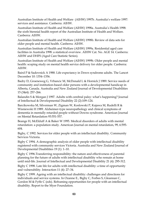Australian Institute of Health and Welfare (AIHW) 1997b. Australia's welfare 1997: services and assistance. Canberra: AIHW.

Australian Institute of Health and Welfare (AIHW) 1998a. Australia's Health 1998: the sixth biennial health report of the Australian Institute of Health and Welfare. Canberra: AIHW.

Australian Institute of Health and Welfare (AIHW) 1998b. Review of data sets for older people and mental health. Canberra: AIHW.

Australian Institute of Health and Welfare (AIHW) 1999a. Residential aged care facilities in Australia 1998: a statistical overview. AIHW Cat. No. AGE 14. Canberra: AIHW and DHFS (Aged Care Statistic Series).

Australian Institute of Health and Welfare (AIHW) 1999b. Older people and mental health: scoping study on mental health service delivery for older people. Canberra: AIHW.

Baird P & Sadovnick A 1988. Life expectancy in Down syndrome adults. The Lancet December 10: 1354–1356.

Badry D, Groeneweg G, Vrbancic M, McDonald L & Hornick J 1989. Service needs of community and institution-based older persons with a developmental handicap in Alberta, Canada. Australia and New Zealand Journal of Developmental Disabilities 15 (3&4): 257–266.

Balandin S & Morgan J 1997. Adults with cerebral palsy: what's happening? Journal of Intellectual & Developmental Disability 22 (2):109–124.

Barcikowska M, Silverman W, Zigman W, Koslowski P, Kujawa M, Rudelli R & Wisniewski H 1989. Alzheimer-type neuropathology and clinical symptoms of dementia in mentally retarded people without Downs syndrome. American Journal on Mental Retardation 93:551-557.

Beange H, McElduff A & Baker W 1995. Medical disorders of adults with mental retardation: a population study. American Journal on mental retardation, 99, 6:595- 604.

Bigby, C 1992. Services for older people with an intellectual disability. Community Services Victoria.

Bigby C 1994. A demographic analysis of older people with intellectual disability registered with community services Victoria. Australia and New Zealand Journal of Developmental Disabilities 19 (1): 1–10.

Bigby C 1996.Transferring responsibility: the nature and effectiveness of parental planning for the future of adults with intellectual disability who remain at home until mid-life. Journal of Intellectual and Developmental Disability 21 (4): 295-312.

Bigby C 1998. Late life for adults with intellectual disability: a time of opportunity and vulnerability. Interaction 11 (4): 27–34.

Bigby C 1999. Ageing with an intellectual disability: challenges and directions for individuals and service systems. In Ozanne E., Bigby C, Forbes S, Gleannan C, Gordon M & Fyffe C (eds). Reframing opportunities for people with an intellectual disability. Report to the Myer Foundation.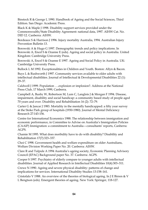Binstock R & George L 1990. Handbook of Ageing and the Social Sciences, Third Edition. San Diego: Academic Press.

Black K & Maple J 1998. Disability support services provided under the Commonwealth/State Disability Agreement: national data, 1997. AIHW Cat. No. DID 12. Canberra: AIHW.

Bordeaux S & Harrison J 1996. Injury mortality Australia, 1994. Australian Injury Prevention Bulletin 13.

Borowski A & Hugo G 1997. Demographic trends and policy implications. In Borowski A, Encel S & Ozanne E (eds). Ageing and social policy in Australia. United Kingdom: Cambridge University Press.

Borowski A, Encel S & Ozanne E 1997. Ageing and Social Policy in Australia. UK: Cambridge University Press.

Bullock L M 1992. Exceptionalities in Children and Youth. Boston: Allyn & Bacon.

Buys L & Rushworth J 1997. Community services available to older adults with intellectual disabilities. Journal of Intellectual & Developmental Disabilities 22 (1): 29–37.

Caldwell J 1999. Population ….explosion or implosion?. Address at the National Press Club, 17 March 1999, Canberra.

Campbell A, Busby W, Robertson M, Lum C, Langlois J & Morgan F 1994. Disease, impairment, disability and social handicap: a community based study of people aged 70 years and over. Disability and Rehabilitation 16 (2): 72–79.

Carter G  $\&$  Jancar J 1983. Mortality in the mentally handicapped: a fifty year survey at the Stoke Park group of hospitals (1930-1980). Journal of Mental Deficiency Research 27:143-156.

Centre for International Economics 1988. The relationship between immigration and economic performance, in Committee to Advise on Australia's Immigration Policies (CAAIP) Immigration: a commitment to Australia—consultants' reports, Canberra: AGPS.

Chamie M 1995. What does morbidity have to do with disability? Disability and Rehabilitation 17(7):323–337.

Choi C 1998. Government health and welfare expenditure on older Australians, Welfare Division Working Paper No. 20. Canberra: AIHW.

Clare R and Tulpule A 1994 Australia's ageing society, Economic Planning Advisory Council (EPAC) Background paper No. 37. Canberra: AGPS.

Cooper S 1997. Psychiatry of elderly compare to younger adults with intellectual disabilities. Journal of Applied Research in Intellectual Disabilities 10(4):303–311.

Crewe N 1990. Ageing and severe physical disability: patterns of change and implications for services. International Disability Studies 13:158–161.

Cristofalo V 1988. An overview of the theories of biological ageing. In J E Birren & V L Bengtson (eds). Emergent theories of ageing. New York: Springer, 118-127.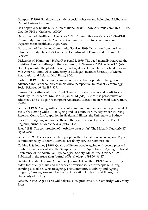Dempsey K 1990. Smalltown: a study of social cohesion and belonging, Melbourne: Oxford University Press.

De Looper M & Bhatia K 1998. International health—how Australia compares. AIHW Cat. No. PHE 8. Canberra: AIHW.

Department of Health and Aged Care 1998. Community care statistics: 1997–1998, Community Care Branch, Aged and Community Care Division. Canberra: Department of Health and Aged Care.

Department of Family and Community Services 1999. Transition from work to retirement study Flyers 1–3. Canberra: Department of Family and Community Services.

Dickerson M, Hamilton J, Huber R & Segal R 1979. The aged mentally retarded: the invisible client, a challenge to the community. In Sweeney D P & Wilson T Y (eds). Double jeopardy: the plight of ageing and aged developmentally disabled persons in Mid-America. Ann Arbor: University of Michigan, Institute for Study of Mental Retardation and Related Disabilities, 8-36.

Easterlin R 1991. The economic impact of prospective population changes in advanced industrial countries: an historical perspective. Journal of Gerontology: Social Sciences 46 (6): 299–309.

Eyman R & Borthwick-Duffy S 1994. Trends in mortality rates and predictors of mortality. In Seltzer M, Krauss M & Janicki M (eds). Life course perspectives on adulthood and old age. Washington: American Association on Mental Retardation, 93-108.

Fethney J 1998. Ageing with spinal cord injury and brain injury, paper presented at the We're Getting Older, Too: Ageing and Disability Forum, September, Nursing Research Centre for Adaptation in Health and Illness, the University of Sydney.

Fries J 1980. Ageing, natural death, and the compression of morbidity. The New England Journal of Medicine 303 (3):130–135.

Fries J 1989. The compression of morbidity: near or far? The Milbank Quarterly 67 (2):208–232.

Gatter B 1996. The service needs of people with a disability who are ageing. Report commissioned by Western Australia. Disability Services Commission.

Gething L & Fethney J 1998. Quality of life for people ageing with severe physical disability, Paper resented in the Symposium on the Psychology of Ageing, National Conference of the Australian Psychological Society, Melbourne, October, 1998. Published in the Australian Journal of Psychology, 1998 50: 86–87.

Gething L, Cahill L, Carey C, Fethney J, Jonas A & White T 1999. We're growing older, too: quality of life and the service provision issues for people with long standing disabilities who are ageing. The Community Disability and Ageing Program, Nursing Research Centre for Adaptation in Health and Illness, the University of Sydney.

Gibson, D 1998. Aged Care: Old policies, New problems. UK: Cambridge University Press.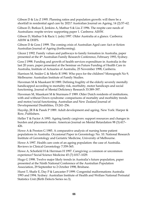Gibson D & Liu Z 1995. Planning ratios and population growth: will there be a shortfall in residential aged care by 2021? Australian Journal on Ageing, 14 (2):57–62.

Gibson D, Butkus E, Jenkins A, Mathur S & Liu Z 1996. The respite care needs of Australians: respite review supporting paper 1. Canberra: AIHW.

Gibson D, Mathur S & Racic L (eds) 1997. Older Australia at a glance. Canberra: AIHW & DHFS.

Gibson D & Goss J 1999. The coming crisis of Australian Aged care: fact or fiction Australian Journal of Ageing (forthcoming).

Glezer J 1992. Family values and pathways to family formation in Australia, paper presented at the 4th Australian Family Research Conference, February 1993, Sydney.

Goss J 1998. Funding and growth of health services expenditure in Australia in the last 20 years, paper presented at the Seminar on Future Funding of Health Care in Australia, Institute of Actuaries of Australia, 25 November 1998, Canberra.

Harrison M, Snider G & Merlo R 1990. Who pays for the children? Monograph No 9, Melbourne: Australian Institute of Family Studies.

Haveman M & Maaskant M 1989. Defining fragility of the elderly severely mentally handicapped according to mortality risk, morbidity, motor handicaps and social functioning. Journal of Mental Deficiency Research 33:389–397.

Haveman M, Maaskant M & Sturmans F 1989. Older Dutch residents of institutions, with and without Down syndrome: comparisons of mortality and morbidity trends and motor/social functioning. Australian and New Zealand Journal of Developmental Disabilities, 15:241–256.

Hayslip, JR B & Panek P 1989. Adult development and ageing. New York: Harper & Row, Publishers.

Heller T & Factor A 1993. Ageing family cargivers: support resources and changes in burden and placement desire. American Journal on Mental Retardation 98 (3):417– 426.

Howe A & Preston G 1985. A comparative analysis of nursing home patient populations in Australia. Occasional Paper in Gerontology No. 10. National Research Institute of Gerontology and Geriatric Medicine, University of Melbourne.

Howe A 1997. Health care costs of an ageing population: the case of Australia. Reviews in Clinical Gerontology 7:359-365.

Howe A, Schofield H & Herrman H 1997. Caregiving: a common or uncommon experience? Social Science Medicine 45 (7):1017–1029.

Hugo G 1998. Twelve major likely trends in Australia's future population, paper presented at the Ninth National Conference of the Australian Population Association, 29 September to 2 October 1998, Brisbane.

Hurst T, Shafir E, Day P & Lancaster P 1999. Congenital malformations Australia 1993 and 1994. Sydney: Australian Institute of Health and Welfare National Perinatal Statistics Unit (Birth Defects Series no.3).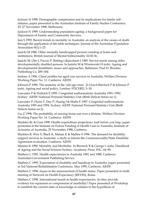Jackson N 1998. Demographic compression and its implications for family selfreliance, paper presented to the Australian Institute of Family Studies Conference, 25–27 November 1998, Melbourne.

Jackson N 1999. Understanding population ageing: a background paper for Department of Family and Community Services.

Jain S 1992. Recent trends in mortality in Australia: an analysis of the causes of death through the application of life table techniques. Journal of the Australian Population Association 9(1):1–23.

Janicki M 1986. Older mentally handicapped persons residing at home and institutions. British Journal of Mental Subnormality 32:30-36.

Janicki M, Otis J, Puccio P, Retting J &Jacobson J 1985. Service needs among older developmentally disabled persons. In Janicki M & Wisniewski H (eds). Ageing and developmental disabilities: issues and approaches. Baltimore: Paul H. Brookes Publishing Co, 289–304.

Jenkins A 1996. Client profiles for aged care services in Australia, Welfare Division Working Paper No. 11. Canberra: AIHW.

Johnson P 1996. The anatomy of the 'old age crisis'. In Lloyd-Sherlock P & Johnson P (eds). Ageing and social policy, London: STICERD, 5–18.

Lancaster P & Pedisich E 1995. Congenital malformations Australia 1981–1992. Sydney: AIHW National Perinatal Statistics Unit (Birth Defects Series no.1).

Lancaster P, Hurst T, Day P, Huang J & Shafir E 1997. Congenital malformations Australia 1993 and 1994. Sydney: AIHW National Perinatal Statistics Unit (Birth Defects Series no.2).

Liu Z 1998. The probability of nursing home use over a lifetime. Welfare Division Working Paper No. 16. Canberra: AIHW.

Madden Rc & Goss 1998. Health expenditure projections: look before you leap, paper presented at the Seminar on Future Funding of Health Care in Australia, Institute of Actuaries of Australia, 25 November 1998, Canberra.

Madden R, Wen X, Black K, Malam K & Mallise S 1996. The demand for disability support services in Australia: a study to inform the Commonwealth/State Disability Agreement evaluation. Canberra: AIHW.

Manton K 1990. Mortality and Morbidity. In Binstock R & George L (eds). Handbook of Ageing and the Social Sciences Sydney: Academic Press, INC, 64–90.

Mathers C 1991. Health expectancies in Australia 1981 and 1988. Canberra: Australian Government Publishing Service.

Mathers C 1995. Expectation of disability and handicap in Australia: paper presented at 3rd National Rehabilitation Conference, May 1995, Canberra: AIHW.

Mathers C 1996. Issues in the measurement of health status. Paper presented at ninth meeting of Network on Health Expectancy (REVES), Rome.

Mathers C 1998. International trends in health expectancies: do they provide evidence for expansion or compression of morbidity? Paper presented at Workshop to establish the current state of knowledge in relation to the hypothesis of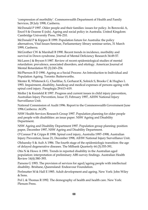'compression of morbidity'. Commonwealth Department of Health and Family Services, 28 July 1998, Canberra.

McDonald P 1997. Older people and their families: issues for policy. In Borowski A, Encel S & Ozanne E (eds). Ageing and social policy in Australia. United Kingdom: Cambridge University Press, 194–210.

McDonald P & Kippen R 1999. Population future for Australia: the policy alternatives, Vital Issues Seminar, Parliamentary library seminar series, 31 March 1999, Canberra.

McGrother CW & Marshall B 1990. Recent trends in incidence, morbidity and survival in Down syndrome. Journal of Mental Deficiency Research 34:49-57.

McLaren J & Bryson S 1987. Review of recent epidemiological studies of mental retardation: prevalence, associated disorders, and etiology. American Journal of Mental Retardation 92 (3):243–254.

McPherson B D 1990. Ageing as a Social Process: An Introduction to Individual and Population Ageing. Toronto: Butterworths.

Menter R, Whiteneck G, Charlifue, S, Gerharat K, Solnick S, Brooks C & Hughes L 1993. Impairment, disability, handicap and medical expenses of persons ageing with spinal cord injury. Paraplegia 29:613–619.

Moller J & Kreisfeld R 1997. Progress and current issues in child injury prevention, Australian Injury Prevention, Issue 15, February 1997, AIHW National Injury Surveillance Unit.

National Commission of Audit 1996. Report to the Commonwealth Government June 1996.Canberra: AGPS.

NSW Health Services Research Group 1997. Population planning for older people and people with disabilities: an issue paper. NSW Ageing and Disability Department.

NSW Ageing and Disability Department 1997. Population group planning: position paper, December 1997, NSW Ageing and Disability Department.

O'Connor P & Cripps R 1998. Spinal cord injury, Australia 1997–1998, Australian Injury Prevention, Issue 21, December 1998, AIHW National Injury Surveillance Unit.

Olshansky S & Ault A 1986. The fourth stage of the epidemiologic transition: the age of delayed degenerative diseases. The Milbank Quarterly 64 (3):355-391.

Otis N & Howe A 1991. Trends in reported disability in the Australian aged population: interpretation of preliminary ABS survey findings. Australian Health Review 14(4):380–393.

Parsons G 1993. The provision of services for aged/ageing people with intellectual disability. Brisbane, Queensland: Endeavour Foundation.

Perlmutter M & Hall E 1985. Adult development and ageing. New York: John Wiley & Sons.

Pol L & Thomas R 1992. The demography of health and health care. New York: Plenum Press.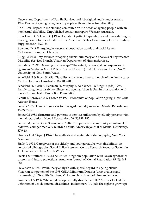Queensland Department of Family Services and Aboriginal and Islander Affairs 1994. Profile of ageing caregivers of people with an intellectual disability.

Re M 1991. Report to the steering committee on the needs of ageing people with an intellectual disability. Unpublished consultant report, Western Australia.

Rhys Hearn C & Hearn C J 1986. A study of patient dependency and nurse staffing in nursing homes for the elderly in three Australian States. Community Health Studies, Supplement X, 3:20–34.

Rowland D 1991. Ageing in Australia: population trends and social issues. Melbourne: Longman Cheshire.

Ruggi M 1998. Day services for ageing clients: summary and analysis of key research. Disability Services Branch, Victorian Department of Human Services.

Saunders P 1996. Dawning of a new age? The extent, causes and consequences of ageing in Australia, Social Policy Research Centre (SPRC) Discussion Paper No. 75 University of New South Wales.

Schofield H & Bloch S 1998. Disability and chronic illness: the role of the family carer. Medical Journal of Australia, 169:405–406.

Schofield H, Bloch S, Herrman H, Murphy B, Nankervis J & Singh B (eds) 1998. Family caregivers: disability, illness and ageing. Allen & Unwin in association with the Victorian Health Promotion Foundation.

Schulz J, Borowski A & Crown W 1991. Economics of population ageing. New York: Auburn House.

Segal R 1977. Trends in services for the aged mentally retarded. Mental Retardation, 15 (2):25-27.

Seltzer M 1988. Structure and patterns of services utilisation by elderly persons with mental retardation. Mental Retardation, 26 (4):181–185.

Seltzer M, Seltzer G. & Sherwood C 1982. Comparison of community adjustment of older vs. younger mentally retarded adults. American journal of Mental Deficiency, 87:9-13.

Shryock H & Siegel J 1976. The methods and materials of demography, New York: Academic Press.

Sitsky L 1994. Caregivers of the elderly and younger adults with disabilities: an annotated bibliography. Social Policy Research Centre Research Resource Series No. 11. University of New South Wales.

Steele J & Stratford B 1995.The United Kingdom population with Down syndrome: present and future projections. American Journal of Mental Retardation 99 (6): 664- 682.

Stevenson E 1999. Preliminary analysis with special regard to ageing clients-Victorian component of the 1998 CSDA Minimum Data set (draft analysis and commentary). Disability Services, Victorian Department of Human Serivces.

Summers J A 1986. Who are developmentally disabled adults? A closer look at the definition of developmental disabilities. In Summers J A (ed) The right to grow up: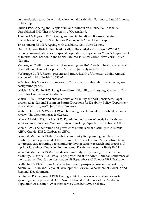an introduction to adults with developmental disabilities. Baltimore: Paul H Brookes Publishing.

Suttie J 1995. Ageing and People With and Without an Intellectual Disability. Unpublished PhD Thesis. University of Queensland.

Thomae I & Fryers T 1982. Ageing and mental handicap. Brussels, Belgium: International League of Societies for Persons with Mental Handicap.

Trieschmann RB 1987. Ageing with disability. New York: Demos.

United Nations 1988. United Nations disability statistics data base, 1975-1986: technical manual, statistics on special population groups, series Y, no. 3. Department of International Economic and Social Affairs, Statistical Office. New York: United Nations.

Verbrugge C 1984. 'Longer life but worsening health?' Trends in health and mortality of middle-aged and older persons. Milbank Quarterly 62:475–519.

Verbrugge L 1989. Recent, present, and future health of American adults. Annual Review of Public Health, 10:333-61.

WA Disability Services Commission 1998. People with disabilities who are ageing: background paper.

Walsh J & De Ravin 1995. Long Term Care—Disability and Ageing. Canberra: The Institute of Actuaries of Australia.

Walsh J 1997. Trends and characteristics of disability support pensioners. Paper presented at National Forum on Future Directions for Disability Policy, Department of Social Security, 24–25 July 1997, Canberra.

Walz T, Harper D & Wilson J 1986. The ageing developmentally disabled person: a review. The Gerontologist, 26:622-629.

Wen X, Madden R & Black K 1995. Population indicators of needs for disability services: an exploration. Welfare Division Working Paper No. 9. Canberra: AIHW.

Wen X 1997. The definition and prevalence of intellectual disability in Australia. AIHW Cat No. DIS 2. Canberra: AIHW.

Wen X & Madden R 1998a. Trends in community living among people with a disability. Paper presented at the Community Living Forum—Moving from large congregate care to setting s to community living: current research and practice, 17 April 1998, Sydney. Published in Intellectual Disability Australia 19 (4):10–14.

Wen X & Madden R 1998b. Trends in community living among people with a disability, Australia 1981–1993. Paper presented at the Ninth National Conference of the Australian Population Association, 29 September to 2 October 1998, Brisbane.

Wettenhall G 1995. Urban Australia: trends and prospects, Research report no.2, Australian Urban and Regional Development Review, Department of Housing and Regional Development.

Whiteford P & Jackson N 1998. Demographic influences on social and security spending, paper presented at the Ninth National Conference of the Australian Population Association, 29 September to 2 October 1998, Brisbane.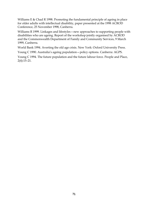Williams E & Chad R 1998. Promoting the fundamental principle of ageing in place for older adults with intellectual disability, paper presented at the 1998 ACROD Conference, 25 November 1998, Canberra.

Williams R 1999. Linkages and lifestyles—new approaches to supporting people with disabilities who are ageing. Report of the workshop jointly organised by ACROD and the Commonwealth Department of Family and Community Services, 9 March 1999, Canberra.

World Bank 1994. Averting the old age crisis. New York: Oxford University Press.

Young C 1990. Australia's ageing population—policy options. Canberra: AGPS.

Young C 1994. The future population and the future labour force. People and Place, 2(4):15–21.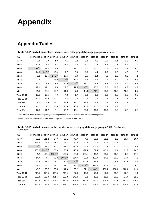## **Appendix**

## **Appendix Tables**

## **Table A1: Projected percentage increase in selected population age groups, Australia**

| Age                | 1997-2002    | 2002-07      | 2007-12      | 2012-17      | 2017-22      | 2022-27      | 2027-32      | 2032-37 | 2037-42 | 2042-47 | 2047-51 |
|--------------------|--------------|--------------|--------------|--------------|--------------|--------------|--------------|---------|---------|---------|---------|
| 45-49              | 7.4          | 8.0          | $-1.9$       | 4.1          | $-3.2$       | $-0.3$       | 4.1          | 2.0     | 0.1     | $-1.5$  | $-0.7$  |
| 50-54              | 17.2         | 7.5          | 8.1          | $-1.8$       | 4.2          | $-3.1$       | $-0.2$       | 4.2     | 2.1     | 0.2     | $-1.4$  |
| 55-59              | $26.6^{(a)}$ | 17.4         | 7.6          | 8.2          | $-1.7$       | 4.2          | $-3.0$       | $-0.2$  | 4.2     | 2.1     | 0.6     |
| 60-64              | 14.9         | $26.9^{(a)}$ | 17.4         | 7.7          | 8.3          | $-1.6$       | 4.4          | $-2.9$  | 0.0     | 4.3     | 1.6     |
| 65-69              | $-0.2$       | 15.5         | $27.2^{(a)}$ | 17.5         | 7.9          | 8.5          | $-1.4$       | 4.6     | $-2.8$  | 0.2     | 4.1     |
| 70-74              | 2.4          | 0.7          | 15.9         | $27.5^{(a)}$ | 17.7         | 8.3          | 8.8          | $-1.2$  | 5.0     | $-2.6$  | $-0.6$  |
| 75-79              | 16.0         | 3.6          | 1.6          | 16.5         | $28.3^{(a)}$ | 18.1         | 8.8          | 9.3     | $-0.8$  | 5.5     | $-0.7$  |
| 80-84              | 17.1         | 17.2         | 4.5          | 2.7          | 17.5         | $29.7^{(a)}$ | 18.8         | 9.8     | 10.2    | $-0.2$  | 3.9     |
| $85+$              | 21.6         | 20.4         | 19.7         | 11.0         | 7.0          | 14.9         | $27.0^{(a)}$ | 23.8    | 16.3    | 13.6    | 5.7     |
| <b>Total 45-64</b> | 15.6         | 13.5         | 7.0          | 4.3          | 1.7          | $-0.2$       | 1.3          | 0.8     | 1.6     | 1.2     | 0.0     |
| <b>Total 50-64</b> | 19.6         | 15.9         | 10.6         | 4.4          | 3.4          | $-0.2$       | 0.3          | 0.4     | 2.1     | 2.1     | 0.2     |
| Total 65+          | 8.0          | 9.9          | 15.1         | 16.9         | 15.1         | 13.6         | 9.2          | 7.4     | 4.2     | 2.7     | 2.4     |
| Total 70+          | 11.7         | 7.7          | 10.0         | 16.6         | 18.6         | 15.9         | 13.6         | 8.4     | 6.7     | 3.6     | 1.8     |
| Total 75+          | 17.6         | 11.7         | 7.1          | 10.7         | 19.1         | 20.6         | 16.3         | 13.3    | 7.5     | 6.3     | 2.8     |

*Note:* This shift mainly reflects the passage of the larger cohort of the post-World War Two baby-boom generation.

*Source:* Calculated on the basis of ABS population projections Series II; ABS 1998a.

| Age                | 1997-2002     | 2002-07       | 2007-12       | 2012-17       | 2017-22       | 2022-27       | 2027-32       | 2032-37 | 2037-42 | 2042-47 | 2047-51 |
|--------------------|---------------|---------------|---------------|---------------|---------------|---------------|---------------|---------|---------|---------|---------|
| 45-49              | 95.1          | 111.2         | $-27.9$       | 60.1          | $-48.7$       | $-4.6$        | 60.8          | 31.1    | 2.2     | $-23.7$ | $-10.4$ |
| 50-54              | 188.3         | 95.8          | 111.4         | $-26.5$       | 60.8          | $-47.3$       | $-3.6$        | 61.2    | 31.7    | 3.0     | $-22.2$ |
| 55-59              | $227.0^{(a)}$ | 187.4         | 96.1          | 111.2         | $-24.8$       | 61.6          | $-45.6$       | $-2.3$  | 61.6    | 32.5    | 9.1     |
| 60-64              | 108.0         | $223.6^{(a)}$ | 183.9         | 95.5          | 110.4         | $-22.4$       | 62.4          | $-43.1$ | $-0.4$  | 61.9    | 24.6    |
| 65-69              | $-1.2$        | 106.1         | $215.2^{(a)}$ | 176.5         | 93.9          | 108.1         | $-19.2$       | 63.1    | $-39.6$ | 2.3     | 57.8    |
| 70-74              | 14.7          | 4.6           | 99.8          | $200.5^{(a)}$ | 164.7         | 90.3          | 103.7         | $-14.8$ | 63.0    | $-34.4$ | $-7.6$  |
| 75-79              | 71.3          | 18.4          | 8.4           | 89.5          | $179.2^{(a)}$ | 147.4         | 84.8          | 97.0    | $-8.8$  | 62.5    | $-8.7$  |
| 80-84              | 49.1          | 58.1          | 17.7          | 11.1          | 74.2          | $147.9^{(a)}$ | 121.3         | 75.3    | 85.6    | $-1.6$  | 36.6    |
| $85+$              | 46.7          | 53.7          | 62.5          | 41.6          | 29.2          | 67.1          | $139.4^{(a)}$ | 156.4   | 132.4   | 128.4   | 61.4    |
| <b>Total 45-64</b> | 618.5         | 618.0         | 363.5         | 240.4         | 97.8          | $-12.8$       | 73.9          | 46.9    | 95.2    | 73.8    | 1.1     |
| <b>Total 50-64</b> | 523.4         | 506.8         | 391.4         | 180.3         | 146.4         | $-8.2$        | 13.2          | 15.8    | 93.0    | 97.4    | 11.5    |
| Total 65+          | 180.5         | 240.8         | 403.5         | 519.2         | 541.2         | 560.8         | 430.0         | 376.8   | 232.7   | 157.2   | 139.4   |
| Total 70+          | 181.8         | 134.8         | 188.3         | 342.7         | 447.4         | 452.7         | 449.2         | 313.8   | 272.3   | 154.9   | 81.7    |

**Table A2: Projected increase in the number of selected population age groups ('000), Australia, 1997-2051**